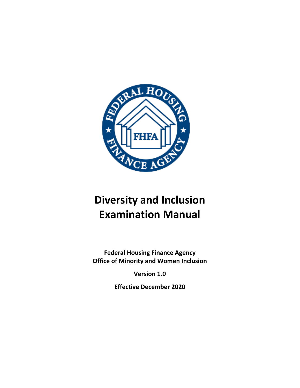

# **Diversity and Inclusion Examination Manual**

**Federal Housing Finance Agency Office of Minority and Women Inclusion**

**Version 1.0**

**Effective December 2020**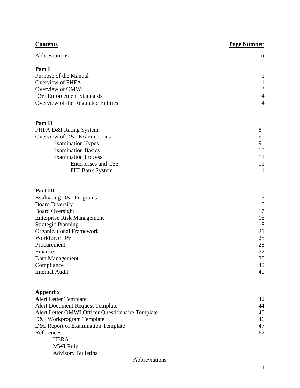| <b>Contents</b>                                   | <b>Page Number</b> |
|---------------------------------------------------|--------------------|
| Abbreviations                                     | $\mathbf{ii}$      |
| Part I                                            |                    |
| Purpose of the Manual                             | $\mathbf{1}$       |
| Overview of FHFA                                  | $\mathbf{1}$       |
| Overview of OMWI                                  | $\mathfrak{Z}$     |
| <b>D&amp;I</b> Enforcement Standards              | $\overline{4}$     |
| Overview of the Regulated Entities                | $\overline{4}$     |
| Part II                                           |                    |
| FHFA D&I Rating System                            | 8                  |
| Overview of D&I Examinations                      | 9                  |
| <b>Examination Types</b>                          | 9                  |
| <b>Examination Basics</b>                         | 10                 |
| <b>Examination Process</b><br>Enterprises and CSS | 11<br>11           |
| <b>FHLBank System</b>                             | 11                 |
| Part III                                          |                    |
| <b>Evaluating D&amp;I Programs</b>                | 15                 |
| <b>Board Diversity</b>                            | 15                 |
| <b>Board Oversight</b>                            | 17                 |
| <b>Enterprise Risk Management</b>                 | 18                 |
| <b>Strategic Planning</b>                         | 18                 |
| <b>Organizational Framework</b>                   | 21                 |
| Workforce D&I                                     | 25                 |
| Procurement                                       | 28<br>32           |
| Finance<br>Data Management                        | 35                 |
| Compliance                                        | 40                 |
| <b>Internal Audit</b>                             | 40                 |
| <b>Appendix</b>                                   |                    |
| <b>Alert Letter Template</b>                      | 42                 |
| <b>Alert Document Request Template</b>            | 44                 |
| Alert Letter OMWI Officer Questionnaire Template  | 45                 |
| D&I Workprogram Template                          | 46                 |
| D&I Report of Examination Template                | 47                 |
| References                                        | 62                 |
| <b>HERA</b>                                       |                    |
| <b>MWI</b> Rule<br><b>Advisory Bulletins</b>      |                    |
|                                                   |                    |

#### <span id="page-1-0"></span>Abbreviations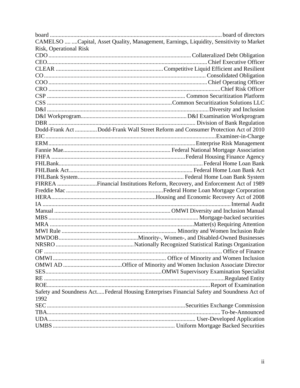|                               | CAMELSO   Capital, Asset Quality, Management, Earnings, Liquidity, Sensitivity to Market   |
|-------------------------------|--------------------------------------------------------------------------------------------|
| <b>Risk, Operational Risk</b> |                                                                                            |
|                               |                                                                                            |
|                               |                                                                                            |
|                               |                                                                                            |
|                               |                                                                                            |
|                               |                                                                                            |
|                               |                                                                                            |
|                               |                                                                                            |
|                               |                                                                                            |
|                               |                                                                                            |
|                               |                                                                                            |
|                               |                                                                                            |
|                               | Dodd-Frank Act Dodd-Frank Wall Street Reform and Consumer Protection Act of 2010           |
|                               |                                                                                            |
|                               |                                                                                            |
|                               |                                                                                            |
|                               |                                                                                            |
|                               |                                                                                            |
|                               |                                                                                            |
|                               |                                                                                            |
|                               | FIRREA Financial Institutions Reform, Recovery, and Enforcement Act of 1989                |
|                               |                                                                                            |
|                               |                                                                                            |
|                               |                                                                                            |
|                               |                                                                                            |
|                               |                                                                                            |
|                               |                                                                                            |
|                               |                                                                                            |
|                               |                                                                                            |
|                               |                                                                                            |
|                               |                                                                                            |
| OF -                          |                                                                                            |
|                               |                                                                                            |
|                               |                                                                                            |
|                               |                                                                                            |
|                               |                                                                                            |
|                               |                                                                                            |
|                               |                                                                                            |
| 1992                          | Safety and Soundness Act Federal Housing Enterprises Financial Safety and Soundness Act of |
|                               |                                                                                            |
|                               |                                                                                            |
|                               |                                                                                            |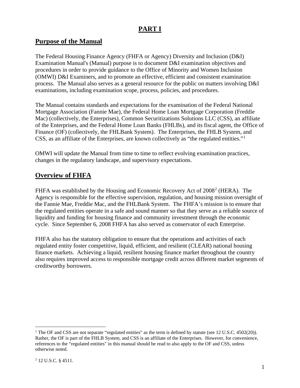## **PART I**

### <span id="page-3-0"></span>**Purpose of the Manual**

The Federal Housing Finance Agency (FHFA or Agency) Diversity and Inclusion (D&I) Examination Manual's (Manual) purpose is to document D&I examination objectives and procedures in order to provide guidance to the Office of Minority and Women Inclusion (OMWI) D&I Examiners, and to promote an effective, efficient and consistent examination process. The Manual also serves as a general resource for the public on matters involving D&I examinations, including examination scope, process, policies, and procedures.

The Manual contains standards and expectations for the examination of the Federal National Mortgage Association (Fannie Mae), the Federal Home Loan Mortgage Corporation (Freddie Mac) (collectively, the Enterprises), Common Securitizations Solutions LLC (CSS), an affiliate of the Enterprises, and the Federal Home Loan Banks (FHLBs), and its fiscal agent, the Office of Finance (OF) (collectively, the FHLBank System). The Enterprises, the FHLB System, and CSS, as an affiliate of the Enterprises, are known collectively as "the regulated entities."[1](#page-3-2)

OMWI will update the Manual from time to time to reflect evolving examination practices, changes in the regulatory landscape, and supervisory expectations.

## <span id="page-3-1"></span>**Overview of FHFA**

FHFA was established by the Housing and Economic Recovery Act of [2](#page-3-3)008<sup>2</sup> (HERA). The Agency is responsible for the effective supervision, regulation, and housing mission oversight of the Fannie Mae, Freddie Mac, and the FHLBank System. The FHFA's mission is to ensure that the regulated entities operate in a safe and sound manner so that they serve as a reliable source of liquidity and funding for housing finance and community investment through the economic cycle. Since September 6, 2008 FHFA has also served as conservator of each Enterprise.

FHFA also has the statutory obligation to ensure that the operations and activities of each regulated entity foster competitive, liquid, efficient, and resilient (CLEAR) national housing finance markets. Achieving a liquid, resilient housing finance market throughout the country also requires improved access to responsible mortgage credit across different market segments of creditworthy borrowers.

<span id="page-3-3"></span><span id="page-3-2"></span><sup>&</sup>lt;sup>1</sup> The OF and CSS are not separate "regulated entities" as the term is defined by statute (see 12 U.S.C. 4502(20)). Rather, the OF is part of the FHLB System, and CSS is an affiliate of the Enterprises. However, for convenience, references to the "regulated entities" in this manual should be read to also apply to the OF and CSS, unless otherwise noted.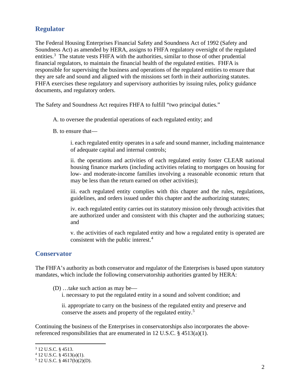## **Regulator**

The Federal Housing Enterprises Financial Safety and Soundness Act of 1992 (Safety and Soundness Act) as amended by HERA, assigns to FHFA regulatory oversight of the regulated entities.<sup>[3](#page-4-0)</sup> The statute vests FHFA with the authorities, similar to those of other prudential financial regulators, to maintain the financial health of the regulated entities. FHFA is responsible for supervising the business and operations of the regulated entities to ensure that they are safe and sound and aligned with the missions set forth in their authorizing statutes. FHFA exercises these regulatory and supervisory authorities by issuing rules, policy guidance documents, and regulatory orders.

The Safety and Soundness Act requires FHFA to fulfill "two principal duties."

A. to oversee the prudential operations of each regulated entity; and

B. to ensure that—

i. each regulated entity operates in a safe and sound manner, including maintenance of adequate capital and internal controls;

ii. the operations and activities of each regulated entity foster CLEAR national housing finance markets (including activities relating to mortgages on housing for low- and moderate-income families involving a reasonable economic return that may be less than the return earned on other activities);

iii. each regulated entity complies with this chapter and the rules, regulations, guidelines, and orders issued under this chapter and the authorizing statutes;

iv. each regulated entity carries out its statutory mission only through activities that are authorized under and consistent with this chapter and the authorizing statues; and

v. the activities of each regulated entity and how a regulated entity is operated are consistent with the public interest.<sup>[4](#page-4-1)</sup>

### **Conservator**

The FHFA's authority as both conservator and regulator of the Enterprises is based upon statutory mandates, which include the following conservatorship authorities granted by HERA:

- (D) …take such action as may be
	- i. necessary to put the regulated entity in a sound and solvent condition; and

ii. appropriate to carry on the business of the regulated entity and preserve and conserve the assets and property of the regulated entity.[5](#page-4-2)

Continuing the business of the Enterprises in conservatorships also incorporates the abovereferenced responsibilities that are enumerated in 12 U.S.C. § 4513(a)(1).

<span id="page-4-0"></span><sup>3</sup> 12 U.S.C. § 4513.

<span id="page-4-1"></span><sup>4</sup> 12 U.S.C. § 4513(a)(1).

<span id="page-4-2"></span><sup>5</sup> 12 U.S.C. § 4617(b)(2)(D).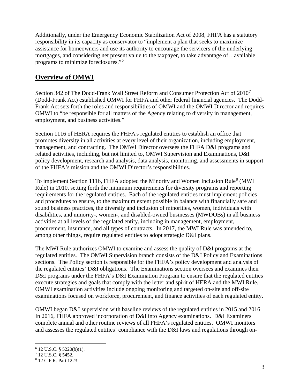Additionally, under the Emergency Economic Stabilization Act of 2008, FHFA has a statutory responsibility in its capacity as conservator to "implement a plan that seeks to maximize assistance for homeowners and use its authority to encourage the servicers of the underlying mortgages, and considering net present value to the taxpayer, to take advantage of…available programs to minimize foreclosures."[6](#page-5-1)

## <span id="page-5-0"></span>**Overview of OMWI**

Section 342 of The Dodd-Frank Wall Street Reform and Consumer Protection Act of  $2010<sup>7</sup>$  $2010<sup>7</sup>$  $2010<sup>7</sup>$ (Dodd-Frank Act) established OMWI for FHFA and other federal financial agencies. The Dodd-Frank Act sets forth the roles and responsibilities of OMWI and the OMWI Director and requires OMWI to "be responsible for all matters of the Agency relating to diversity in management, employment, and business activities."

Section 1116 of HERA requires the FHFA's regulated entities to establish an office that promotes diversity in all activities at every level of their organization, including employment, management, and contracting. The OMWI Director oversees the FHFA D&I programs and related activities, including, but not limited to, OMWI Supervision and Examinations, D&I policy development, research and analysis, data analysis, monitoring, and assessments in support of the FHFA's mission and the OMWI Director's responsibilities.

To implement Section 1116, FHFA adopted the Minority and Women Inclusion Rule<sup>[8](#page-5-3)</sup> (MWI) Rule) in 2010, setting forth the minimum requirements for diversity programs and reporting requirements for the regulated entities. Each of the regulated entities must implement policies and procedures to ensure, to the maximum extent possible in balance with financially safe and sound business practices, the diversity and inclusion of minorities, women, individuals with disabilities, and minority-, women-, and disabled-owned businesses (MWDOBs) in all business activities at all levels of the regulated entity, including in management, employment, procurement, insurance, and all types of contracts. In 2017, the MWI Rule was amended to, among other things, require regulated entities to adopt strategic D&I plans.

The MWI Rule authorizes OMWI to examine and assess the quality of D&I programs at the regulated entities. The OMWI Supervision branch consists of the D&I Policy and Examinations sections. The Policy section is responsible for the FHFA's policy development and analysis of the regulated entities' D&I obligations. The Examinations section oversees and examines their D&I programs under the FHFA's D&I Examination Program to ensure that the regulated entities execute strategies and goals that comply with the letter and spirit of HERA and the MWI Rule. OMWI examination activities include ongoing monitoring and targeted on-site and off-site examinations focused on workforce, procurement, and finance activities of each regulated entity.

OMWI began D&I supervision with baseline reviews of the regulated entities in 2015 and 2016. In 2016, FHFA approved incorporation of D&I into Agency examinations. D&I Examiners complete annual and other routine reviews of all FHFA's regulated entities. OMWI monitors and assesses the regulated entities' compliance with the D&I laws and regulations through on-

<span id="page-5-1"></span><sup>6</sup> 12 U.S.C. § 5220(b)(1).

<span id="page-5-2"></span><sup>7</sup> 12 U.S.C. § 5452.

<span id="page-5-3"></span><sup>8</sup> 12 C.F.R. Part 1223.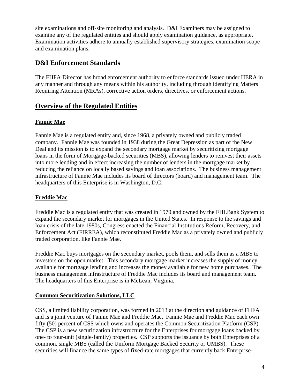site examinations and off-site monitoring and analysis. D&I Examiners may be assigned to examine any of the regulated entities and should apply examination guidance, as appropriate. Examination activities adhere to annually established supervisory strategies, examination scope and examination plans.

## **D&I Enforcement Standards**

The FHFA Director has broad enforcement authority to enforce standards issued under HERA in any manner and through any means within his authority, including through identifying Matters Requiring Attention (MRAs), corrective action orders, directives, or enforcement actions.

## <span id="page-6-0"></span>**Overview of the Regulated Entities**

#### **Fannie Mae**

Fannie Mae is a regulated entity and, since 1968, a privately owned and publicly traded company. Fannie Mae was founded in 1938 during the Great Depression as part of the New Deal and its mission is to expand the secondary mortgage market by securitizing mortgage loans in the form of Mortgage-backed securities (MBS), allowing lenders to reinvest their assets into more lending and in effect increasing the number of lenders in the mortgage market by reducing the reliance on locally based savings and loan associations. The business management infrastructure of Fannie Mae includes its board of directors (board) and management team. The headquarters of this Enterprise is in Washington, D.C.

#### **Freddie Mac**

Freddie Mac is a regulated entity that was created in 1970 and owned by the FHLBank System to expand the secondary market for mortgages in the United States. In response to the savings and loan crisis of the late 1980s, Congress enacted the Financial Institutions Reform, Recovery, and Enforcement Act (FIRREA), which reconstituted Freddie Mac as a privately owned and publicly traded corporation, like Fannie Mae.

Freddie Mac buys mortgages on the secondary market, pools them, and sells them as a MBS to investors on the open market. This secondary mortgage market increases the supply of money available for mortgage lending and increases the money available for new home purchases. The business management infrastructure of Freddie Mac includes its board and management team. The headquarters of this Enterprise is in McLean, Virginia.

#### **Common Securitization Solutions, LLC**

CSS, a limited liability corporation, was formed in 2013 at the direction and guidance of FHFA and is a joint venture of Fannie Mae and Freddie Mac. Fannie Mae and Freddie Mac each own fifty (50) percent of CSS which owns and operates the Common Securitization Platform (CSP). The CSP is a new securitization infrastructure for the Enterprises for mortgage loans backed by one- to four-unit (single-family) properties. CSP supports the issuance by both Enterprises of a common, single MBS (called the Uniform Mortgage Backed Security or UMBS). These securities will finance the same types of fixed-rate mortgages that currently back Enterprise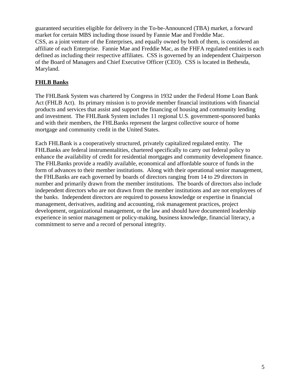guaranteed securities eligible for delivery in the To-be-Announced (TBA) market, a forward market for certain MBS including those issued by Fannie Mae and Freddie Mac. CSS, as a joint venture of the Enterprises, and equally owned by both of them, is considered an affiliate of each Enterprise. Fannie Mae and Freddie Mac, as the FHFA regulated entities is each defined as including their respective affiliates. CSS is governed by an independent Chairperson of the Board of Managers and Chief Executive Officer (CEO). CSS is located in Bethesda, Maryland.

#### **FHLB Banks**

The FHLBank System was chartered by Congress in 1932 under the Federal Home Loan Bank Act (FHLB Act). Its primary mission is to provide member financial institutions with financial products and services that assist and support the financing of housing and community lending and investment. The FHLBank System includes 11 regional U.S. government-sponsored banks and with their members, the FHLBanks represent the largest collective source of home mortgage and community credit in the United States.

Each FHLBank is a cooperatively structured, privately capitalized regulated entity. The FHLBanks are federal instrumentalities, chartered specifically to carry out federal policy to enhance the availability of credit for residential mortgages and community development finance. The FHLBanks provide a readily available, economical and affordable source of funds in the form of advances to their member institutions. Along with their operational senior management, the FHLBanks are each governed by boards of directors ranging from 14 to 29 directors in number and primarily drawn from the member institutions. The boards of directors also include independent directors who are not drawn from the member institutions and are not employees of the banks. Independent directors are required to possess knowledge or expertise in financial management, derivatives, auditing and accounting, risk management practices, project development, organizational management, or the law and should have documented leadership experience in senior management or policy-making, business knowledge, financial literacy, a commitment to serve and a record of personal integrity.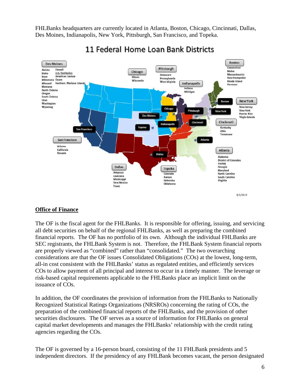FHLBanks headquarters are currently located in Atlanta, Boston, Chicago, Cincinnati, Dallas, Des Moines, Indianapolis, New York, Pittsburgh, San Francisco, and Topeka.



## 11 Federal Home Loan Bank Districts

#### **Office of Finance**

The OF is the fiscal agent for the FHLBanks. It is responsible for offering, issuing, and servicing all debt securities on behalf of the regional FHLBanks, as well as preparing the combined financial reports. The OF has no portfolio of its own. Although the individual FHLBanks are SEC registrants, the FHLBank System is not. Therefore, the FHLBank System financial reports are properly viewed as "combined" rather than "consolidated." The two overarching considerations are that the OF issues Consolidated Obligations (COs) at the lowest, long-term, all-in cost consistent with the FHLBanks' status as regulated entities, and efficiently services COs to allow payment of all principal and interest to occur in a timely manner. The leverage or risk-based capital requirements applicable to the FHLBanks place an implicit limit on the issuance of COs.

In addition, the OF coordinates the provision of information from the FHLBanks to Nationally Recognized Statistical Ratings Organizations (NRSROs) concerning the rating of COs, the preparation of the combined financial reports of the FHLBanks, and the provision of other securities disclosures. The OF serves as a source of information for FHLBanks on general capital market developments and manages the FHLBanks' relationship with the credit rating agencies regarding the COs.

The OF is governed by a 16-person board, consisting of the 11 FHLBank presidents and 5 independent directors. If the presidency of any FHLBank becomes vacant, the person designated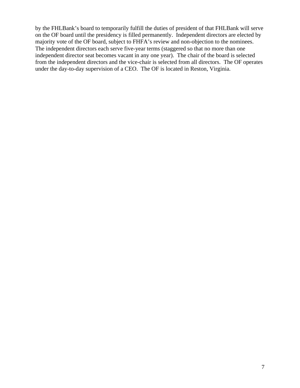by the FHLBank's board to temporarily fulfill the duties of president of that FHLBank will serve on the OF board until the presidency is filled permanently. Independent directors are elected by majority vote of the OF board, subject to FHFA's review and non-objection to the nominees. The independent directors each serve five-year terms (staggered so that no more than one independent director seat becomes vacant in any one year). The chair of the board is selected from the independent directors and the vice-chair is selected from all directors. The OF operates under the day-to-day supervision of a CEO. The OF is located in Reston, Virginia.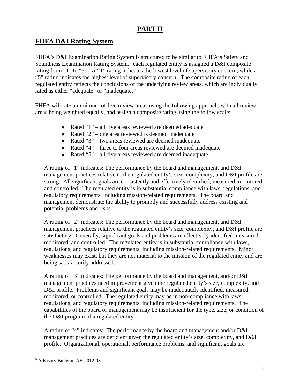## **PART II**

## <span id="page-10-0"></span>**FHFA D&I Rating System**

FHFA's D&I Examination Rating System is structured to be similar to FHFA's Safety and Soundness Examination Rating System,<sup>[9](#page-10-1)</sup> each regulated entity is assigned a D&I composite rating from "1" to "5." A "1" rating indicates the lowest level of supervisory concern, while a "5" rating indicates the highest level of supervisory concern. The composite rating of each regulated entity reflects the conclusions of the underlying review areas, which are individually rated as either "adequate" or "inadequate."

FHFA will rate a minimum of five review areas using the following approach, with all review areas being weighted equally, and assign a composite rating using the follow scale:

- Rated "1" all five areas reviewed are deemed adequate
- Rated "2" one area reviewed is deemed inadequate
- Rated "3" two areas reviewed are deemed inadequate
- Rated "4" three to four areas reviewed are deemed inadequate
- Rated "5" all five areas reviewed are deemed inadequate

A rating of "1" indicates: The performance by the board and management, and D&I management practices relative to the regulated entity's size, complexity, and D&I profile are strong. All significant goals are consistently and effectively identified, measured, monitored, and controlled. The regulated entity is in substantial compliance with laws, regulations, and regulatory requirements, including mission-related requirements. The board and management demonstrate the ability to promptly and successfully address existing and potential problems and risks.

A rating of "2" indicates: The performance by the board and management, and D&I management practices relative to the regulated entity's size, complexity, and D&I profile are satisfactory. Generally, significant goals and problems are effectively identified, measured, monitored, and controlled. The regulated entity is in substantial compliance with laws, regulations, and regulatory requirements, including mission-related requirements. Minor weaknesses may exist, but they are not material to the mission of the regulated entity and are being satisfactorily addressed.

A rating of "3" indicates: The performance by the board and management, and/or D&I management practices need improvement given the regulated entity's size, complexity, and D&I profile. Problems and significant goals may be inadequately identified, measured, monitored, or controlled. The regulated entity may be in non-compliance with laws, regulations, and regulatory requirements, including mission-related requirements. The capabilities of the board or management may be insufficient for the type, size, or condition of the D&I program of a regulated entity.

A rating of "4" indicates: The performance by the board and management and/or D&I management practices are deficient given the regulated entity's size, complexity, and D&I profile. Organizational, operational, performance problems, and significant goals are

<span id="page-10-1"></span><sup>9</sup> Advisory Bulletin: AB-2012-03.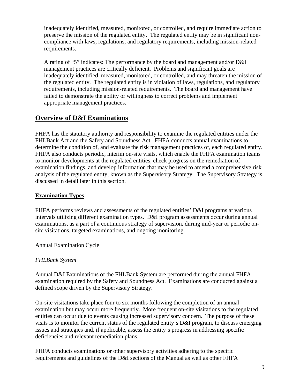inadequately identified, measured, monitored, or controlled, and require immediate action to preserve the mission of the regulated entity. The regulated entity may be in significant noncompliance with laws, regulations, and regulatory requirements, including mission-related requirements.

A rating of "5" indicates: The performance by the board and management and/or D&I management practices are critically deficient. Problems and significant goals are inadequately identified, measured, monitored, or controlled, and may threaten the mission of the regulated entity. The regulated entity is in violation of laws, regulations, and regulatory requirements, including mission-related requirements. The board and management have failed to demonstrate the ability or willingness to correct problems and implement appropriate management practices.

## <span id="page-11-0"></span>**Overview of D&I Examinations**

FHFA has the statutory authority and responsibility to examine the regulated entities under the FHLBank Act and the Safety and Soundness Act. FHFA conducts annual examinations to determine the condition of, and evaluate the risk management practices of, each regulated entity. FHFA also conducts periodic, interim on-site visits, which enable the FHFA examination teams to monitor developments at the regulated entities, check progress on the remediation of examination findings, and develop information that may be used to amend a comprehensive risk analysis of the regulated entity, known as the Supervisory Strategy. The Supervisory Strategy is discussed in detail later in this section.

#### <span id="page-11-1"></span>**Examination Types**

FHFA performs reviews and assessments of the regulated entities' D&I programs at various intervals utilizing different examination types. D&I program assessments occur during annual examinations, as a part of a continuous strategy of supervision, during mid-year or periodic onsite visitations, targeted examinations, and ongoing monitoring.

#### Annual Examination Cycle

#### *FHLBank System*

Annual D&I Examinations of the FHLBank System are performed during the annual FHFA examination required by the Safety and Soundness Act. Examinations are conducted against a defined scope driven by the Supervisory Strategy.

On-site visitations take place four to six months following the completion of an annual examination but may occur more frequently. More frequent on-site visitations to the regulated entities can occur due to events causing increased supervisory concern. The purpose of these visits is to monitor the current status of the regulated entity's D&I program, to discuss emerging issues and strategies and, if applicable, assess the entity's progress in addressing specific deficiencies and relevant remediation plans.

FHFA conducts examinations or other supervisory activities adhering to the specific requirements and guidelines of the D&I sections of the Manual as well as other FHFA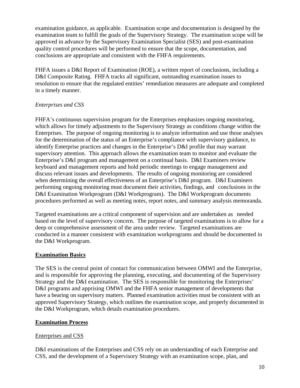examination guidance, as applicable. Examination scope and documentation is designed by the examination team to fulfill the goals of the Supervisory Strategy. The examination scope will be approved in advance by the Supervisory Examination Specialist (SES) and post-examination quality control procedures will be performed to ensure that the scope, documentation, and conclusions are appropriate and consistent with the FHFA requirements.

FHFA issues a D&I Report of Examination (ROE), a written report of conclusions, including a D&I Composite Rating. FHFA tracks all significant, outstanding examination issues to resolution to ensure that the regulated entities' remediation measures are adequate and completed in a timely manner.

#### *Enterprises and CSS*

FHFA's continuous supervision program for the Enterprises emphasizes ongoing monitoring, which allows for timely adjustments to the Supervisory Strategy as conditions change within the Enterprises. The purpose of ongoing monitoring is to analyze information and use those analyses for the determination of the status of an Enterprise's compliance with supervisory guidance, to identify Enterprise practices and changes in the Enterprise's D&I profile that may warrant supervisory attention. This approach allows the examination team to monitor and evaluate the Enterprise's D&I program and management on a continual basis. D&I Examiners review keyboard and management reports and hold periodic meetings to engage management and discuss relevant issues and developments. The results of ongoing monitoring are considered when determining the overall effectiveness of an Enterprise's D&I program. D&I Examiners performing ongoing monitoring must document their activities, findings, and conclusions in the D&I Examination Workprogram (D&I Workprogram). The D&I Workprogram documents procedures performed as well as meeting notes, report notes, and summary analysis memoranda.

Targeted examinations are a critical component of supervision and are undertaken as needed based on the level of supervisory concern. The purpose of targeted examinations is to allow for a deep or comprehensive assessment of the area under review. Targeted examinations are conducted in a manner consistent with examination workprograms and should be documented in the D&I Workprogram.

#### <span id="page-12-0"></span>**Examination Basics**

The SES is the central point of contact for communication between OMWI and the Enterprise, and is responsible for approving the planning, executing, and documenting of the Supervisory Strategy and the D&I examination. The SES is responsible for monitoring the Enterprises' D&I programs and apprising OMWI and the FHFA senior management of developments that have a bearing on supervisory matters. Planned examination activities must be consistent with an approved Supervisory Strategy, which outlines the examination scope, and properly documented in the D&I Workprogram, which details examination procedures.

#### <span id="page-12-2"></span><span id="page-12-1"></span>**Examination Process**

#### Enterprises and CSS

D&I examinations of the Enterprises and CSS rely on an understanding of each Enterprise and CSS, and the development of a Supervisory Strategy with an examination scope, plan, and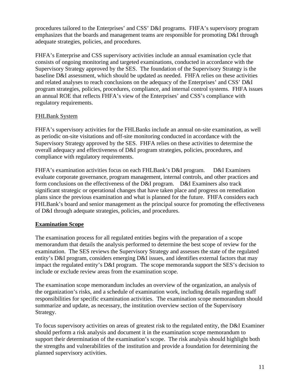procedures tailored to the Enterprises' and CSS' D&I programs. FHFA's supervisory program emphasizes that the boards and management teams are responsible for promoting D&I through adequate strategies, policies, and procedures.

FHFA's Enterprise and CSS supervisory activities include an annual examination cycle that consists of ongoing monitoring and targeted examinations, conducted in accordance with the Supervisory Strategy approved by the SES. The foundation of the Supervisory Strategy is the baseline D&I assessment, which should be updated as needed. FHFA relies on these activities and related analyses to reach conclusions on the adequacy of the Enterprises' and CSS' D&I program strategies, policies, procedures, compliance, and internal control systems. FHFA issues an annual ROE that reflects FHFA's view of the Enterprises' and CSS's compliance with regulatory requirements.

#### <span id="page-13-0"></span>FHLBank System

FHFA's supervisory activities for the FHLBanks include an annual on-site examination, as well as periodic on-site visitations and off-site monitoring conducted in accordance with the Supervisory Strategy approved by the SES. FHFA relies on these activities to determine the overall adequacy and effectiveness of D&I program strategies, policies, procedures, and compliance with regulatory requirements.

FHFA's examination activities focus on each FHLBank's D&I program. D&I Examiners evaluate corporate governance, program management, internal controls, and other practices and form conclusions on the effectiveness of the D&I program. D&I Examiners also track significant strategic or operational changes that have taken place and progress on remediation plans since the previous examination and what is planned for the future. FHFA considers each FHLBank's board and senior management as the principal source for promoting the effectiveness of D&I through adequate strategies, policies, and procedures.

#### **Examination Scope**

The examination process for all regulated entities begins with the preparation of a scope memorandum that details the analysis performed to determine the best scope of review for the examination. The SES reviews the Supervisory Strategy and assesses the state of the regulated entity's D&I program, considers emerging D&I issues, and identifies external factors that may impact the regulated entity's D&I program. The scope memoranda support the SES's decision to include or exclude review areas from the examination scope.

The examination scope memorandum includes an overview of the organization, an analysis of the organization's risks, and a schedule of examination work, including details regarding staff responsibilities for specific examination activities. The examination scope memorandum should summarize and update, as necessary, the institution overview section of the Supervisory Strategy.

To focus supervisory activities on areas of greatest risk to the regulated entity, the D&I Examiner should perform a risk analysis and document it in the examination scope memorandum to support their determination of the examination's scope. The risk analysis should highlight both the strengths and vulnerabilities of the institution and provide a foundation for determining the planned supervisory activities.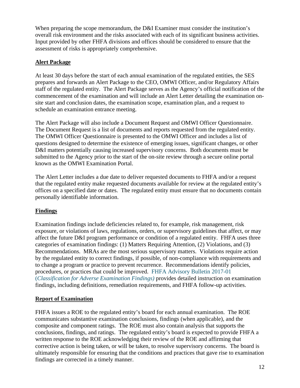When preparing the scope memorandum, the D&I Examiner must consider the institution's overall risk environment and the risks associated with each of its significant business activities. Input provided by other FHFA divisions and offices should be considered to ensure that the assessment of risks is appropriately comprehensive.

#### **Alert Package**

At least 30 days before the start of each annual examination of the regulated entities, the SES prepares and forwards an Alert Package to the CEO, OMWI Officer, and/or Regulatory Affairs staff of the regulated entity. The Alert Package serves as the Agency's official notification of the commencement of the examination and will include an Alert Letter detailing the examination onsite start and conclusion dates, the examination scope, examination plan, and a request to schedule an examination entrance meeting.

The Alert Package will also include a Document Request and OMWI Officer Questionnaire. The Document Request is a list of documents and reports requested from the regulated entity. The OMWI Officer Questionnaire is presented to the OMWI Officer and includes a list of questions designed to determine the existence of emerging issues, significant changes, or other D&I matters potentially causing increased supervisory concerns. Both documents must be submitted to the Agency prior to the start of the on-site review through a secure online portal known as the OMWI Examination Portal.

The Alert Letter includes a due date to deliver requested documents to FHFA and/or a request that the regulated entity make requested documents available for review at the regulated entity's offices on a specified date or dates. The regulated entity must ensure that no documents contain personally identifiable information.

#### **Findings**

Examination findings include deficiencies related to, for example, risk management, risk exposure, or violations of laws, regulations, orders, or supervisory guidelines that affect, or may affect the future D&I program performance or condition of a regulated entity. FHFA uses three categories of examination findings: (1) Matters Requiring Attention, (2) Violations, and (3) Recommendations. MRAs are the most serious supervisory matters. Violations require action by the regulated entity to correct findings, if possible, of non-compliance with requirements and to change a program or practice to prevent recurrence. Recommendations identify policies, procedures, or practices that could be improved. [FHFA Advisory Bulletin 2017-01](https://www.fhfa.gov/SupervisionRegulation/AdvisoryBulletins/AdvisoryBulletinDocuments/AB-2017-01-Classifications-of-Adverse-Examination-Findings.pdf)  (*[Classification for Adverse Examination Findings\)](https://www.fhfa.gov/SupervisionRegulation/AdvisoryBulletins/AdvisoryBulletinDocuments/AB-2017-01-Classifications-of-Adverse-Examination-Findings.pdf)* provides detailed instruction on examination findings, including definitions, remediation requirements, and FHFA follow-up activities.

#### **Report of Examination**

FHFA issues a ROE to the regulated entity's board for each annual examination. The ROE communicates substantive examination conclusions, findings (when applicable), and the composite and component ratings. The ROE must also contain analysis that supports the conclusions, findings, and ratings. The regulated entity's board is expected to provide FHFA a written response to the ROE acknowledging their review of the ROE and affirming that corrective action is being taken, or will be taken, to resolve supervisory concerns. The board is ultimately responsible for ensuring that the conditions and practices that gave rise to examination findings are corrected in a timely manner.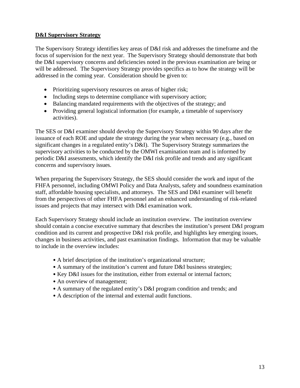#### **D&I Supervisory Strategy**

The Supervisory Strategy identifies key areas of D&I risk and addresses the timeframe and the focus of supervision for the next year. The Supervisory Strategy should demonstrate that both the D&I supervisory concerns and deficiencies noted in the previous examination are being or will be addressed. The Supervisory Strategy provides specifics as to how the strategy will be addressed in the coming year. Consideration should be given to:

- Prioritizing supervisory resources on areas of higher risk;
- Including steps to determine compliance with supervisory action;
- Balancing mandated requirements with the objectives of the strategy; and
- Providing general logistical information (for example, a timetable of supervisory activities).

The SES or D&I examiner should develop the Supervisory Strategy within 90 days after the issuance of each ROE and update the strategy during the year when necessary (e.g., based on significant changes in a regulated entity's D&I). The Supervisory Strategy summarizes the supervisory activities to be conducted by the OMWI examination team and is informed by periodic D&I assessments, which identify the D&I risk profile and trends and any significant concerns and supervisory issues.

When preparing the Supervisory Strategy, the SES should consider the work and input of the FHFA personnel, including OMWI Policy and Data Analysts, safety and soundness examination staff, affordable housing specialists, and attorneys. The SES and D&I examiner will benefit from the perspectives of other FHFA personnel and an enhanced understanding of risk-related issues and projects that may intersect with D&I examination work.

Each Supervisory Strategy should include an institution overview. The institution overview should contain a concise executive summary that describes the institution's present D&I program condition and its current and prospective D&I risk profile, and highlights key emerging issues, changes in business activities, and past examination findings. Information that may be valuable to include in the overview includes:

- A brief description of the institution's organizational structure;
- A summary of the institution's current and future D&I business strategies;
- Key D&I issues for the institution, either from external or internal factors;
- An overview of management;
- A summary of the regulated entity's D&I program condition and trends; and
- A description of the internal and external audit functions.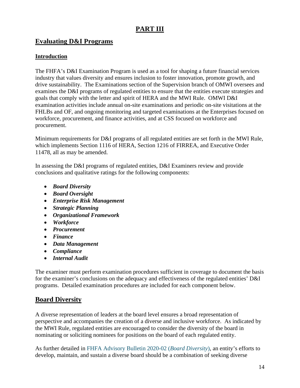## **PART III**

### **Evaluating D&I Programs**

#### **Introduction**

The FHFA's D&I Examination Program is used as a tool for shaping a future financial services industry that values diversity and ensures inclusion to foster innovation, promote growth, and drive sustainability. The Examinations section of the Supervision branch of OMWI oversees and examines the D&I programs of regulated entities to ensure that the entities execute strategies and goals that comply with the letter and spirit of HERA and the MWI Rule. OMWI D&I examination activities include annual on-site examinations and periodic on-site visitations at the FHLBs and OF, and ongoing monitoring and targeted examinations at the Enterprises focused on workforce, procurement, and finance activities, and at CSS focused on workforce and procurement.

Minimum requirements for D&I programs of all regulated entities are set forth in the MWI Rule, which implements Section 1116 of HERA, Section 1216 of FIRREA, and Executive Order 11478, all as may be amended.

In assessing the D&I programs of regulated entities, D&I Examiners review and provide conclusions and qualitative ratings for the following components:

- *Board Diversity*
- *Board Oversight*
- *Enterprise Risk Management*
- *Strategic Planning*
- *Organizational Framework*
- *Workforce*
- *Procurement*
- *Finance*
- *Data Management*
- *Compliance*
- *Internal Audit*

The examiner must perform examination procedures sufficient in coverage to document the basis for the examiner's conclusions on the adequacy and effectiveness of the regulated entities' D&I programs. Detailed examination procedures are included for each component below.

### <span id="page-16-0"></span>**Board Diversity**

A diverse representation of leaders at the board level ensures a broad representation of perspective and accompanies the creation of a diverse and inclusive workforce. As indicated by the MWI Rule, regulated entities are encouraged to consider the diversity of the board in nominating or soliciting nominees for positions on the board of each regulated entity.

As further detailed in [FHFA Advisory Bulletin 2020-02 \(](https://www.fhfa.gov/SupervisionRegulation/AdvisoryBulletins/AdvisoryBulletinDocuments/AB-2020-02_Board-Diversity.pdf)*Board Diversity*), an entity's efforts to develop, maintain, and sustain a diverse board should be a combination of seeking diverse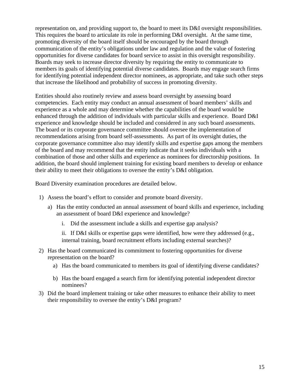representation on, and providing support to, the board to meet its D&I oversight responsibilities. This requires the board to articulate its role in performing D&I oversight. At the same time, promoting diversity of the board itself should be encouraged by the board through communication of the entity's obligations under law and regulation and the value of fostering opportunities for diverse candidates for board service to assist in this oversight responsibility. Boards may seek to increase director diversity by requiring the entity to communicate to members its goals of identifying potential diverse candidates. Boards may engage search firms for identifying potential independent director nominees, as appropriate, and take such other steps that increase the likelihood and probability of success in promoting diversity.

Entities should also routinely review and assess board oversight by assessing board competencies. Each entity may conduct an annual assessment of board members' skills and experience as a whole and may determine whether the capabilities of the board would be enhanced through the addition of individuals with particular skills and experience. Board D&I experience and knowledge should be included and considered in any such board assessments. The board or its corporate governance committee should oversee the implementation of recommendations arising from board self-assessments. As part of its oversight duties, the corporate governance committee also may identify skills and expertise gaps among the members of the board and may recommend that the entity indicate that it seeks individuals with a combination of those and other skills and experience as nominees for directorship positions. In addition, the board should implement training for existing board members to develop or enhance their ability to meet their obligations to oversee the entity's D&I obligation.

Board Diversity examination procedures are detailed below.

- 1) Assess the board's effort to consider and promote board diversity.
	- a) Has the entity conducted an annual assessment of board skills and experience, including an assessment of board D&I experience and knowledge?
		- i. Did the assessment include a skills and expertise gap analysis?

<span id="page-17-0"></span>ii. If D&I skills or expertise gaps were identified, how were they addressed (e.g., internal training, board recruitment efforts including external searches)?

- 2) Has the board communicated its commitment to fostering opportunities for diverse representation on the board?
	- a) Has the board communicated to members its goal of identifying diverse candidates?
	- b) Has the board engaged a search firm for identifying potential independent director nominees?
- 3) Did the board implement training or take other measures to enhance their ability to meet their responsibility to oversee the entity's D&I program?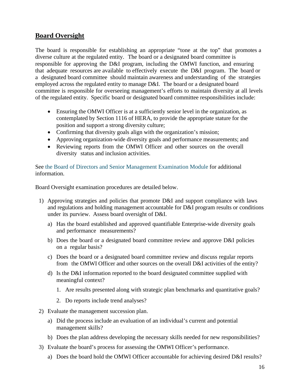### **Board Oversight**

The board is responsible for establishing an appropriate "tone at the top" that promotes a diverse culture at the regulated entity. The board or a designated board committee is responsible for approving the D&I program, including the OMWI function, and ensuring that adequate resources are available to effectively execute the D&I program. The board or a designated board committee should maintain awareness and understanding of the strategies employed across the regulated entity to manage D&I. The board or a designated board committee is responsible for overseeing management's efforts to maintain diversity at all levels of the regulated entity. Specific board or designated board committee responsibilities include:

- Ensuring the OMWI Officer is at a sufficiently senior level in the organization, as contemplated by Section 1116 of HERA, to provide the appropriate stature for the position and support a strong diversity culture;
- Confirming that diversity goals align with the organization's mission;
- Approving organization-wide diversity goals and performance measurements; and
- Reviewing reports from the OMWI Officer and other sources on the overall diversity status and inclusion activities.

See [the Board of Directors and Senior Management Examination Module](http://intranet.fhfa.gov/downloader.ashx?objectid=3458142) for additional information.

Board Oversight examination procedures are detailed below.

- 1) Approving strategies and policies that promote D&I and support compliance with laws and regulations and holding management accountable for D&I program results or conditions under its purview. Assess board oversight of D&I.
	- a) Has the board established and approved quantifiable Enterprise-wide diversity goals and performance measurements?
	- b) Does the board or a designated board committee review and approve D&I policies on a regular basis?
	- c) Does the board or a designated board committee review and discuss regular reports from the OMWI Officer and other sources on the overall D&I activities of the entity?
	- d) Is the D&I information reported to the board designated committee supplied with meaningful context?
		- 1. Are results presented along with strategic plan benchmarks and quantitative goals?
		- 2. Do reports include trend analyses?
- 2) Evaluate the management succession plan.
	- a) Did the process include an evaluation of an individual's current and potential management skills?
	- b) Does the plan address developing the necessary skills needed for new responsibilities?
- 3) Evaluate the board's process for assessing the OMWI Officer's performance.
	- a) Does the board hold the OMWI Officer accountable for achieving desired D&I results?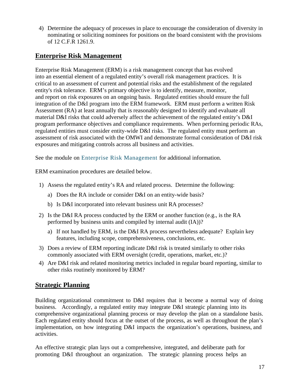<span id="page-19-0"></span>4) Determine the adequacy of processes in place to encourage the consideration of diversity in nominating or soliciting nominees for positions on the board consistent with the provisions of 12 C.F.R 1261.9.

## **Enterprise Risk Management**

Enterprise Risk Management (ERM) is a risk management concept that has evolved into an essential element of a regulated entity's overall risk management practices. It is critical to an assessment of current and potential risks and the establishment of the regulated entity's risk tolerance. ERM's primary objective is to identify, measure, monitor, and report on risk exposures on an ongoing basis. Regulated entities should ensure the full integration of the D&I program into the ERM framework. ERM must perform a written Risk Assessment (RA) at least annually that is reasonably designed to identify and evaluate all material D&I risks that could adversely affect the achievement of the regulated entity's D&I program performance objectives and compliance requirements. When performing periodic RAs, regulated entities must consider entity-wide D&I risks. The regulated entity must perform an assessment of risk associated with the OMWI and demonstrate formal consideration of D&I risk exposures and mitigating controls across all business and activities.

See the module on [Enterprise Risk Management](http://intranet.fhfa.gov/downloader.ashx?objectid=3193019) for additional information.

ERM examination procedures are detailed below.

- 1) Assess the regulated entity's RA and related process. Determine the following:
	- a) Does the RA include or consider D&I on an entity-wide basis?
	- b) Is D&I incorporated into relevant business unit RA processes?
- 2) Is the D&I RA process conducted by the ERM or another function (e.g., is the RA performed by business units and compiled by internal audit (IA))?
	- a) If not handled by ERM, is the D&I RA process nevertheless adequate? Explain key features, including scope, comprehensiveness, conclusions, etc.
- 3) Does a review of ERM reporting indicate D&I risk is treated similarly to other risks commonly associated with ERM oversight (credit, operations, market, etc.)?
- 4) Are D&I risk and related monitoring metrics included in regular board reporting, similar to other risks routinely monitored by ERM?

## <span id="page-19-1"></span>**Strategic Planning**

Building organizational commitment to D&I requires that it become a normal way of doing business. Accordingly, a regulated entity may integrate D&I strategic planning into its comprehensive organizational planning process or may develop the plan on a standalone basis. Each regulated entity should focus at the outset of the process, as well as throughout the plan's implementation, on how integrating D&I impacts the organization's operations, business, and activities.

An effective strategic plan lays out a comprehensive, integrated, and deliberate path for promoting D&I throughout an organization. The strategic planning process helps an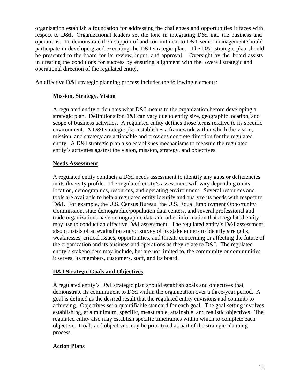organization establish a foundation for addressing the challenges and opportunities it faces with respect to D&I. Organizational leaders set the tone in integrating D&I into the business and operations. To demonstrate their support of and commitment to D&I, senior management should participate in developing and executing the D&I strategic plan. The D&I strategic plan should be presented to the board for its review, input, and approval. Oversight by the board assists in creating the conditions for success by ensuring alignment with the overall strategic and operational direction of the regulated entity.

An effective D&I strategic planning process includes the following elements:

#### **Mission, Strategy, Vision**

A regulated entity articulates what D&I means to the organization before developing a strategic plan. Definitions for D&I can vary due to entity size, geographic location, and scope of business activities. A regulated entity defines those terms relative to its specific environment. A D&I strategic plan establishes a framework within which the vision, mission, and strategy are actionable and provides concrete direction for the regulated entity. A D&I strategic plan also establishes mechanisms to measure the regulated entity's activities against the vision, mission, strategy, and objectives.

#### **Needs Assessment**

A regulated entity conducts a D&I needs assessment to identify any gaps or deficiencies in its diversity profile. The regulated entity's assessment will vary depending on its location, demographics, resources, and operating environment. Several resources and tools are available to help a regulated entity identify and analyze its needs with respect to D&I. For example, the U.S. Census Bureau, the U.S. Equal Employment Opportunity Commission, state demographic/population data centers, and several professional and trade organizations have demographic data and other information that a regulated entity may use to conduct an effective D&I assessment. The regulated entity's D&I assessment also consists of an evaluation and/or survey of its stakeholders to identify strengths, weaknesses, critical issues, opportunities, and threats concerning or affecting the future of the organization and its business and operations as they relate to D&I. The regulated entity's stakeholders may include, but are not limited to, the community or communities it serves, its members, customers, staff, and its board.

#### **D&I Strategic Goals and Objectives**

A regulated entity's D&I strategic plan should establish goals and objectives that demonstrate its commitment to D&I within the organization over a three-year period. A goal is defined as the desired result that the regulated entity envisions and commits to achieving. Objectives set a quantifiable standard for each goal. The goal setting involves establishing, at a minimum, specific, measurable, attainable, and realistic objectives. The regulated entity also may establish specific timeframes within which to complete each objective. Goals and objectives may be prioritized as part of the strategic planning process.

#### **Action Plans**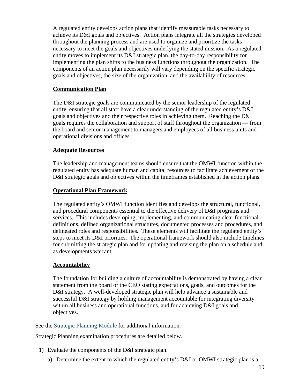A regulated entity develops action plans that identify measurable tasks necessary to achieve its D&I goals and objectives. Action plans integrate all the strategies developed throughout the planning process and are used to organize and prioritize the tasks necessary to meet the goals and objectives underlying the stated mission. As a regulated entity moves to implement its D&I strategic plan, the day-to-day responsibility for implementing the plan shifts to the business functions throughout the organization. The components of an action plan necessarily will vary depending on the specific strategic goals and objectives, the size of the organization, and the availability of resources.

#### **Communication Plan**

The D&I strategic goals are communicated by the senior leadership of the regulated entity, ensuring that all staff have a clear understanding of the regulated entity's D&I goals and objectives and their respective roles in achieving them. Reaching the D&I goals requires the collaboration and support of staff throughout the organization — from the board and senior management to managers and employees of all business units and operational divisions and offices.

#### **Adequate Resources**

The leadership and management teams should ensure that the OMWI function within the regulated entity has adequate human and capital resources to facilitate achievement of the D&I strategic goals and objectives within the timeframes established in the action plans.

#### **Operational Plan Framework**

The regulated entity's OMWI function identifies and develops the structural, functional, and procedural components essential to the effective delivery of D&I programs and services. This includes developing, implementing, and communicating clear functional definitions, defined organizational structures, documented processes and procedures, and delineated roles and responsibilities. These elements will facilitate the regulated entity's steps to meet its D&I priorities. The operational framework should also include timelines for submitting the strategic plan and for updating and revising the plan on a schedule and as developments warrant.

#### **Accountability**

The foundation for building a culture of accountability is demonstrated by having a clear statement from the board or the CEO stating expectations, goals, and outcomes for the D&I strategy. A well-developed strategic plan will help advance a sustainable and successful D&I strategy by holding management accountable for integrating diversity within all business and operational functions, and for achieving D&I goals and objectives.

See the [Strategic Planning Module](http://intranet.fhfa.gov/downloader.ashx?objectid=2240002) for additional information.

Strategic Planning examination procedures are detailed below.

- 1) Evaluate the components of the D&I strategic plan.
	- a) Determine the extent to which the regulated entity's D&I or OMWI strategic plan is a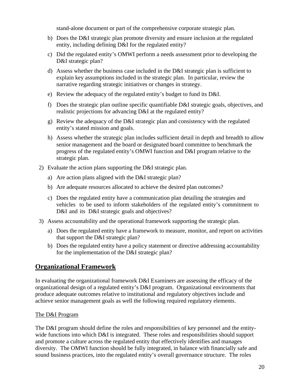stand-alone document or part of the comprehensive corporate strategic plan.

- b) Does the D&I strategic plan promote diversity and ensure inclusion at the regulated entity, including defining D&I for the regulated entity?
- c) Did the regulated entity's OMWI perform a needs assessment prior to developing the D&I strategic plan?
- d) Assess whether the business case included in the D&I strategic plan is sufficient to explain key assumptions included in the strategic plan. In particular, review the narrative regarding strategic initiatives or changes in strategy.
- e) Review the adequacy of the regulated entity's budget to fund its D&I.
- f) Does the strategic plan outline specific quantifiable D&I strategic goals, objectives, and realistic projections for advancing D&I at the regulated entity?
- g) Review the adequacy of the D&I strategic plan and consistency with the regulated entity's stated mission and goals.
- h) Assess whether the strategic plan includes sufficient detail in depth and breadth to allow senior management and the board or designated board committee to benchmark the progress of the regulated entity's OMWI function and D&I program relative to the strategic plan.
- 2) Evaluate the action plans supporting the D&I strategic plan.
	- a) Are action plans aligned with the D&I strategic plan?
	- b) Are adequate resources allocated to achieve the desired plan outcomes?
	- c) Does the regulated entity have a communication plan detailing the strategies and vehicles to be used to inform stakeholders of the regulated entity's commitment to D&I and its D&I strategic goals and objectives?
- <span id="page-22-0"></span>3) Assess accountability and the operational framework supporting the strategic plan.
	- a) Does the regulated entity have a framework to measure, monitor, and report on activities that support the D&I strategic plan?
	- b) Does the regulated entity have a policy statement or directive addressing accountability for the implementation of the D&I strategic plan?

### **Organizational Framework**

In evaluating the organizational framework D&I Examiners are assessing the efficacy of the organizational design of a regulated entity's D&I program. Organizational environments that produce adequate outcomes relative to institutional and regulatory objectives include and achieve senior management goals as well the following required regulatory elements.

#### The D&I Program

The D&I program should define the roles and responsibilities of key personnel and the entitywide functions into which D&I is integrated. These roles and responsibilities should support and promote a culture across the regulated entity that effectively identifies and manages diversity. The OMWI function should be fully integrated, in balance with financially safe and sound business practices, into the regulated entity's overall governance structure. The roles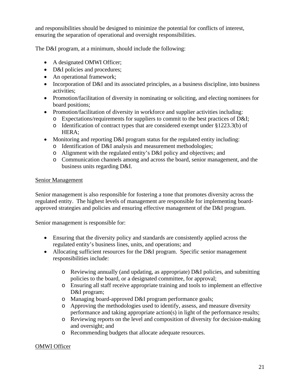and responsibilities should be designed to minimize the potential for conflicts of interest, ensuring the separation of operational and oversight responsibilities.

The D&I program, at a minimum, should include the following:

- A designated OMWI Officer;
- D&I policies and procedures;
- An operational framework;
- Incorporation of D&I and its associated principles, as a business discipline, into business activities;
- Promotion/facilitation of diversity in nominating or soliciting, and electing nominees for board positions;
- Promotion/facilitation of diversity in workforce and supplier activities including:
	- o Expectations/requirements for suppliers to commit to the best practices of D&I;
	- o Identification of contract types that are considered exempt under §1223.3(b) of HERA;
- Monitoring and reporting D&I program status for the regulated entity including:
	- o Identification of D&I analysis and measurement methodologies;
	- o Alignment with the regulated entity's D&I policy and objectives; and
	- o Communication channels among and across the board, senior management, and the business units regarding D&I.

#### Senior Management

Senior management is also responsible for fostering a tone that promotes diversity across the regulated entity. The highest levels of management are responsible for implementing boardapproved strategies and policies and ensuring effective management of the D&I program.

Senior management is responsible for:

- Ensuring that the diversity policy and standards are consistently applied across the regulated entity's business lines, units, and operations; and
- Allocating sufficient resources for the D&I program. Specific senior management responsibilities include:
	- o Reviewing annually (and updating, as appropriate) D&I policies, and submitting policies to the board, or a designated committee, for approval;
	- o Ensuring all staff receive appropriate training and tools to implement an effective D&I program;
	- o Managing board-approved D&I program performance goals;
	- o Approving the methodologies used to identify, assess, and measure diversity performance and taking appropriate action(s) in light of the performance results;
	- o Reviewing reports on the level and composition of diversity for decision-making and oversight; and
	- o Recommending budgets that allocate adequate resources.

#### OMWI Officer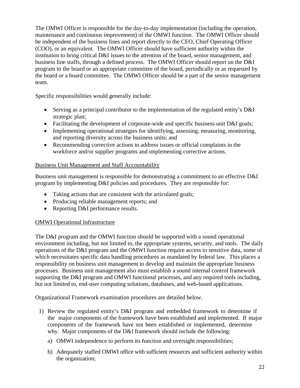The OMWI Officer is responsible for the day-to-day implementation (including the operation, maintenance and continuous improvement) of the OMWI function. The OMWI Officer should be independent of the business lines and report directly to the CEO, Chief Operating Officer (COO), or an equivalent. The OMWI Officer should have sufficient authority within the institution to bring critical D&I issues to the attention of the board, senior management, and business line staffs, through a defined process. The OMWI Officer should report on the D&I program to the board or an appropriate committee of the board, periodically or as requested by the board or a board committee. The OMWI Officer should be a part of the senior management team.

Specific responsibilities would generally include:

- Serving as a principal contributor to the implementation of the regulated entity's D&I strategic plan;
- Facilitating the development of corporate-wide and specific business unit D&I goals;
- Implementing operational strategies for identifying, assessing, measuring, monitoring, and reporting diversity across the business units; and
- Recommending corrective actions to address issues or official complaints in the workforce and/or supplier programs and implementing corrective actions.

#### Business Unit Management and Staff Accountability

Business unit management is responsible for demonstrating a commitment to an effective D&I program by implementing D&I policies and procedures. They are responsible for:

- Taking actions that are consistent with the articulated goals;
- Producing reliable management reports; and
- Reporting D&I performance results.

#### OMWI Operational Infrastructure

The D&I program and the OMWI function should be supported with a sound operational environment including, but not limited to, the appropriate systems, security, and tools. The daily operations of the D&I program and the OMWI function require access to sensitive data, some of which necessitates specific data handling procedures as mandated by federal law. This places a responsibility on business unit management to develop and maintain the appropriate business processes. Business unit management also must establish a sound internal control framework supporting the D&I program and OMWI functional processes, and any required tools including, but not limited to, end-user computing solutions, databases, and web-based applications.

Organizational Framework examination procedures are detailed below.

- 1) Review the regulated entity's D&I program and embedded framework to determine if the major components of the framework have been established and implemented. If major components of the framework have not been established or implemented, determine why. Major components of the D&I framework should include the following:
	- a) OMWI independence to perform its function and oversight responsibilities;
	- b) Adequately staffed OMWI office with sufficient resources and sufficient authority within the organization;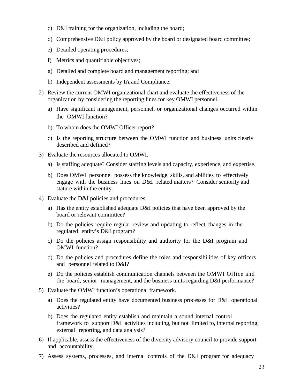- c) D&I training for the organization, including the board;
- d) Comprehensive D&I policy approved by the board or designated board committee;
- e) Detailed operating procedures;
- f) Metrics and quantifiable objectives;
- g) Detailed and complete board and management reporting; and
- h) Independent assessments by IA and Compliance.
- 2) Review the current OMWI organizational chart and evaluate the effectiveness of the organization by considering the reporting lines for key OMWI personnel.
	- a) Have significant management, personnel, or organizational changes occurred within the OMWI function?
	- b) To whom does the OMWI Officer report?
	- c) Is the reporting structure between the OMWI function and business units clearly described and defined?
- 3) Evaluate the resources allocated to OMWI.
	- a) Is staffing adequate? Consider staffing levels and capacity, experience, and expertise.
	- b) Does OMWI personnel possess the knowledge, skills, and abilities to effectively engage with the business lines on D&I related matters? Consider seniority and stature within the entity.
- 4) Evaluate the D&I policies and procedures.
	- a) Has the entity established adequate D&I policies that have been approved by the board or relevant committee?
	- b) Do the policies require regular review and updating to reflect changes in the regulated entity's D&I program?
	- c) Do the policies assign responsibility and authority for the D&I program and OMWI function?
	- d) Do the policies and procedures define the roles and responsibilities of key officers and personnel related to D&I?
	- e) Do the policies establish communication channels between the OMWI Office and the board, senior management, and the business units regarding D&I performance?
- 5) Evaluate the OMWI function's operational framework.
	- a) Does the regulated entity have documented business processes for D&I operational activities?
	- b) Does the regulated entity establish and maintain a sound internal control framework to support D&I activities including, but not limited to, internal reporting, external reporting, and data analysis?
- 6) If applicable, assess the effectiveness of the diversity advisory council to provide support and accountability.
- 7) Assess systems, processes, and internal controls of the D&I program for adequacy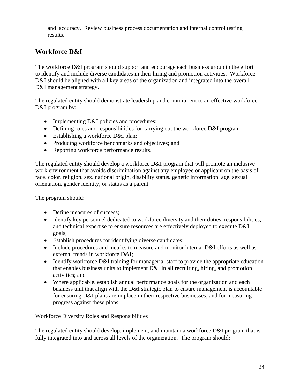<span id="page-26-0"></span>and accuracy. Review business process documentation and internal control testing results.

## **Workforce D&I**

The workforce D&I program should support and encourage each business group in the effort to identify and include diverse candidates in their hiring and promotion activities. Workforce D&I should be aligned with all key areas of the organization and integrated into the overall D&I management strategy.

The regulated entity should demonstrate leadership and commitment to an effective workforce D&I program by:

- Implementing D&I policies and procedures;
- Defining roles and responsibilities for carrying out the workforce D&I program;
- Establishing a workforce D&I plan;
- Producing workforce benchmarks and objectives; and
- Reporting workforce performance results.

The regulated entity should develop a workforce D&I program that will promote an inclusive work environment that avoids discrimination against any employee or applicant on the basis of race, color, religion, sex, national origin, disability status, genetic information, age, sexual orientation, gender identity, or status as a parent.

The program should:

- Define measures of success;
- Identify key personnel dedicated to workforce diversity and their duties, responsibilities, and technical expertise to ensure resources are effectively deployed to execute D&I goals;
- Establish procedures for identifying diverse candidates;
- Include procedures and metrics to measure and monitor internal D&I efforts as well as external trends in workforce D&I;
- Identify workforce D&I training for managerial staff to provide the appropriate education that enables business units to implement D&I in all recruiting, hiring, and promotion activities; and
- Where applicable, establish annual performance goals for the organization and each business unit that align with the D&I strategic plan to ensure management is accountable for ensuring D&I plans are in place in their respective businesses, and for measuring progress against these plans.

#### Workforce Diversity Roles and Responsibilities

The regulated entity should develop, implement, and maintain a workforce D&I program that is fully integrated into and across all levels of the organization. The program should: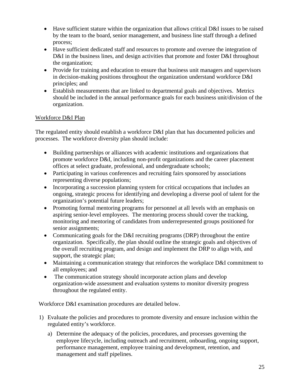- Have sufficient stature within the organization that allows critical D&I issues to be raised by the team to the board, senior management, and business line staff through a defined process;
- Have sufficient dedicated staff and resources to promote and oversee the integration of D&I in the business lines, and design activities that promote and foster D&I throughout the organization;
- Provide for training and education to ensure that business unit managers and supervisors in decision-making positions throughout the organization understand workforce D&I principles; and
- Establish measurements that are linked to departmental goals and objectives. Metrics should be included in the annual performance goals for each business unit/division of the organization.

#### Workforce D&I Plan

The regulated entity should establish a workforce D&I plan that has documented policies and processes. The workforce diversity plan should include:

- Building partnerships or alliances with academic institutions and organizations that promote workforce D&I, including non-profit organizations and the career placement offices at select graduate, professional, and undergraduate schools;
- Participating in various conferences and recruiting fairs sponsored by associations representing diverse populations;
- Incorporating a succession planning system for critical occupations that includes an ongoing, strategic process for identifying and developing a diverse pool of talent for the organization's potential future leaders;
- Promoting formal mentoring programs for personnel at all levels with an emphasis on aspiring senior-level employees. The mentoring process should cover the tracking, monitoring and mentoring of candidates from underrepresented groups positioned for senior assignments;
- Communicating goals for the D&I recruiting programs (DRP) throughout the entire organization. Specifically, the plan should outline the strategic goals and objectives of the overall recruiting program, and design and implement the DRP to align with, and support, the strategic plan;
- Maintaining a communication strategy that reinforces the workplace D&I commitment to all employees; and
- The communication strategy should incorporate action plans and develop organization-wide assessment and evaluation systems to monitor diversity progress throughout the regulated entity.

Workforce D&I examination procedures are detailed below.

- 1) Evaluate the policies and procedures to promote diversity and ensure inclusion within the regulated entity's workforce.
	- a) Determine the adequacy of the policies, procedures, and processes governing the employee lifecycle, including outreach and recruitment, onboarding, ongoing support, performance management, employee training and development, retention, and management and staff pipelines.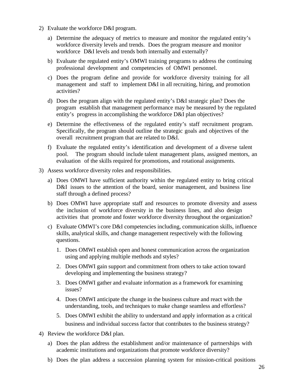- 2) Evaluate the workforce D&I program.
	- a) Determine the adequacy of metrics to measure and monitor the regulated entity's workforce diversity levels and trends. Does the program measure and monitor workforce D&I levels and trends both internally and externally?
	- b) Evaluate the regulated entity's OMWI training programs to address the continuing professional development and competencies of OMWI personnel.
	- c) Does the program define and provide for workforce diversity training for all management and staff to implement D&I in all recruiting, hiring, and promotion activities?
	- d) Does the program align with the regulated entity's D&I strategic plan? Does the program establish that management performance may be measured by the regulated entity's progress in accomplishing the workforce D&I plan objectives?
	- e) Determine the effectiveness of the regulated entity's staff recruitment program. Specifically, the program should outline the strategic goals and objectives of the overall recruitment program that are related to D&I.
	- f) Evaluate the regulated entity's identification and development of a diverse talent pool. The program should include talent management plans, assigned mentors, an evaluation of the skills required for promotions, and rotational assignments.
- 3) Assess workforce diversity roles and responsibilities.
	- a) Does OMWI have sufficient authority within the regulated entity to bring critical D&I issues to the attention of the board, senior management, and business line staff through a defined process?
	- b) Does OMWI have appropriate staff and resources to promote diversity and assess the inclusion of workforce diversity in the business lines, and also design activities that promote and foster workforce diversity throughout the organization?
	- c) Evaluate OMWI's core D&I competencies including, communication skills, influence skills, analytical skills, and change management respectively with the following questions.
		- 1. Does OMWI establish open and honest communication across the organization using and applying multiple methods and styles?
		- 2. Does OMWI gain support and commitment from others to take action toward developing and implementing the business strategy?
		- 3. Does OMWI gather and evaluate information as a framework for examining issues?
		- 4. Does OMWI anticipate the change in the business culture and react with the understanding, tools, and techniques to make change seamless and effortless?
		- 5. Does OMWI exhibit the ability to understand and apply information as a critical business and individual success factor that contributes to the business strategy?
- 4) Review the workforce D&I plan.
	- a) Does the plan address the establishment and/or maintenance of partnerships with academic institutions and organizations that promote workforce diversity?
	- b) Does the plan address a succession planning system for mission-critical positions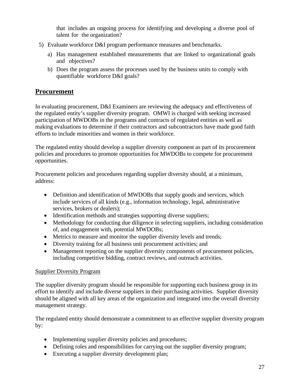<span id="page-29-0"></span>that includes an ongoing process for identifying and developing a diverse pool of talent for the organization?

- 5) Evaluate workforce D&I program performance measures and benchmarks.
	- a) Has management established measurements that are linked to organizational goals and objectives?
	- b) Does the program assess the processes used by the business units to comply with quantifiable workforce D&I goals?

## **Procurement**

In evaluating procurement, D&I Examiners are reviewing the adequacy and effectiveness of the regulated entity's supplier diversity program. OMWI is charged with seeking increased participation of MWDOBs in the programs and contracts of regulated entities as well as making evaluations to determine if their contractors and subcontractors have made good faith efforts to include minorities and women in their workforce.

The regulated entity should develop a supplier diversity component as part of its procurement policies and procedures to promote opportunities for MWDOBs to compete for procurement opportunities.

Procurement policies and procedures regarding supplier diversity should, at a minimum, address:

- Definition and identification of MWDOBs that supply goods and services, which include services of all kinds (e.g., information technology, legal, administrative services, brokers or dealers);
- Identification methods and strategies supporting diverse suppliers;
- Methodology for conducting due diligence in selecting suppliers, including consideration of, and engagement with, potential MWDOBs;
- Metrics to measure and monitor the supplier diversity levels and trends;
- Diversity training for all business unit procurement activities; and
- Management reporting on the supplier diversity components of procurement policies, including competitive bidding, contract reviews, and outreach activities.

#### Supplier Diversity Program

The supplier diversity program should be responsible for supporting each business group in its effort to identify and include diverse suppliers in their purchasing activities. Supplier diversity should be aligned with all key areas of the organization and integrated into the overall diversity management strategy.

The regulated entity should demonstrate a commitment to an effective supplier diversity program by:

- Implementing supplier diversity policies and procedures;
- Defining roles and responsibilities for carrying out the supplier diversity program;
- Executing a supplier diversity development plan;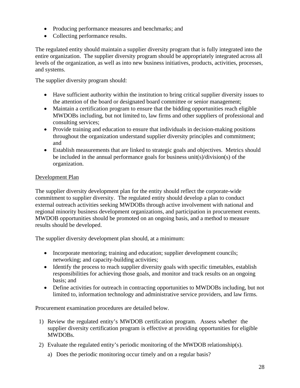- Producing performance measures and benchmarks; and
- Collecting performance results.

The regulated entity should maintain a supplier diversity program that is fully integrated into the entire organization. The supplier diversity program should be appropriately integrated across all levels of the organization, as well as into new business initiatives, products, activities, processes, and systems.

The supplier diversity program should:

- Have sufficient authority within the institution to bring critical supplier diversity issues to the attention of the board or designated board committee or senior management;
- Maintain a certification program to ensure that the bidding opportunities reach eligible MWDOBs including, but not limited to, law firms and other suppliers of professional and consulting services;
- Provide training and education to ensure that individuals in decision-making positions throughout the organization understand supplier diversity principles and commitment; and
- Establish measurements that are linked to strategic goals and objectives. Metrics should be included in the annual performance goals for business unit(s)/division(s) of the organization.

#### Development Plan

The supplier diversity development plan for the entity should reflect the corporate-wide commitment to supplier diversity. The regulated entity should develop a plan to conduct external outreach activities seeking MWDOBs through active involvement with national and regional minority business development organizations, and participation in procurement events. MWDOB opportunities should be promoted on an ongoing basis, and a method to measure results should be developed.

The supplier diversity development plan should, at a minimum:

- Incorporate mentoring; training and education; supplier development councils; networking; and capacity-building activities;
- Identify the process to reach supplier diversity goals with specific timetables, establish responsibilities for achieving those goals, and monitor and track results on an ongoing basis; and
- Define activities for outreach in contracting opportunities to MWDOBs including, but not limited to, information technology and administrative service providers, and law firms.

Procurement examination procedures are detailed below.

- 1) Review the regulated entity's MWDOB certification program. Assess whether the supplier diversity certification program is effective at providing opportunities for eligible MWDOBs.
- 2) Evaluate the regulated entity's periodic monitoring of the MWDOB relationship(s).
	- a) Does the periodic monitoring occur timely and on a regular basis?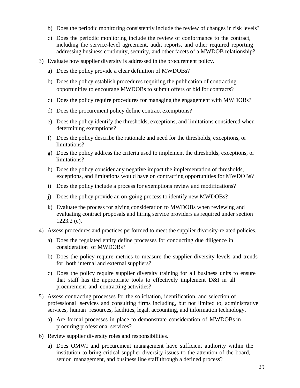- b) Does the periodic monitoring consistently include the review of changes in risk levels?
- c) Does the periodic monitoring include the review of conformance to the contract, including the service-level agreement, audit reports, and other required reporting addressing business continuity, security, and other facets of a MWDOB relationship?
- 3) Evaluate how supplier diversity is addressed in the procurement policy.
	- a) Does the policy provide a clear definition of MWDOBs?
	- b) Does the policy establish procedures requiring the publication of contracting opportunities to encourage MWDOBs to submit offers or bid for contracts?
	- c) Does the policy require procedures for managing the engagement with MWDOBs?
	- d) Does the procurement policy define contract exemptions?
	- e) Does the policy identify the thresholds, exceptions, and limitations considered when determining exemptions?
	- f) Does the policy describe the rationale and need for the thresholds, exceptions, or limitations?
	- g) Does the policy address the criteria used to implement the thresholds, exceptions, or limitations?
	- h) Does the policy consider any negative impact the implementation of thresholds, exceptions, and limitations would have on contracting opportunities for MWDOBs?
	- i) Does the policy include a process for exemptions review and modifications?
	- j) Does the policy provide an on-going process to identify new MWDOBs?
	- k) Evaluate the process for giving consideration to MWDOBs when reviewing and evaluating contract proposals and hiring service providers as required under section 1223.2 (c).
- 4) Assess procedures and practices performed to meet the supplier diversity-related policies.
	- a) Does the regulated entity define processes for conducting due diligence in consideration of MWDOBs?
	- b) Does the policy require metrics to measure the supplier diversity levels and trends for both internal and external suppliers?
	- c) Does the policy require supplier diversity training for all business units to ensure that staff has the appropriate tools to effectively implement D&I in all procurement and contracting activities?
- 5) Assess contracting processes for the solicitation, identification, and selection of professional services and consulting firms including, but not limited to, administrative services, human resources, facilities, legal, accounting, and information technology.
	- a) Are formal processes in place to demonstrate consideration of MWDOBs in procuring professional services?
- 6) Review supplier diversity roles and responsibilities.
	- a) Does OMWI and procurement management have sufficient authority within the institution to bring critical supplier diversity issues to the attention of the board, senior management, and business line staff through a defined process?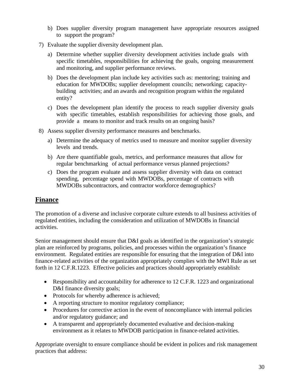- b) Does supplier diversity program management have appropriate resources assigned to support the program?
- 7) Evaluate the supplier diversity development plan.
	- a) Determine whether supplier diversity development activities include goals with specific timetables, responsibilities for achieving the goals, ongoing measurement and monitoring, and supplier performance reviews.
	- b) Does the development plan include key activities such as: mentoring; training and education for MWDOBs; supplier development councils; networking; capacitybuilding activities; and an awards and recognition program within the regulated entity?
	- c) Does the development plan identify the process to reach supplier diversity goals with specific timetables, establish responsibilities for achieving those goals, and provide a means to monitor and track results on an ongoing basis?
- 8) Assess supplier diversity performance measures and benchmarks.
	- a) Determine the adequacy of metrics used to measure and monitor supplier diversity levels and trends.
	- b) Are there quantifiable goals, metrics, and performance measures that allow for regular benchmarking of actual performance versus planned projections?
	- c) Does the program evaluate and assess supplier diversity with data on contract spending, percentage spend with MWDOBs, percentage of contracts with MWDOBs subcontractors, and contractor workforce demographics?

### <span id="page-32-0"></span>**Finance**

The promotion of a diverse and inclusive corporate culture extends to all business activities of regulated entities, including the consideration and utilization of MWDOBs in financial activities.

Senior management should ensure that D&I goals as identified in the organization's strategic plan are reinforced by programs, policies, and processes within the organization's finance environment. Regulated entities are responsible for ensuring that the integration of D&I into finance-related activities of the organization appropriately complies with the MWI Rule as set forth in 12 C.F.R.1223. Effective policies and practices should appropriately establish:

- Responsibility and accountability for adherence to 12 C.F.R. 1223 and organizational D&I finance diversity goals;
- Protocols for whereby adherence is achieved;
- A reporting structure to monitor regulatory compliance;
- Procedures for corrective action in the event of noncompliance with internal policies and/or regulatory guidance; and
- A transparent and appropriately documented evaluative and decision-making environment as it relates to MWDOB participation in finance-related activities.

Appropriate oversight to ensure compliance should be evident in polices and risk management practices that address: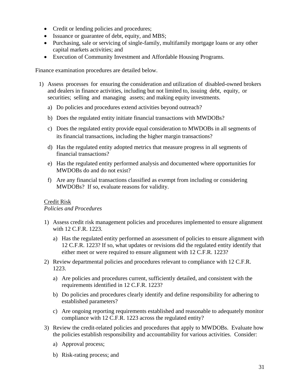- Credit or lending policies and procedures;
- Issuance or guarantee of debt, equity, and MBS;
- Purchasing, sale or servicing of single-family, multifamily mortgage loans or any other capital markets activities; and
- Execution of Community Investment and Affordable Housing Programs.

Finance examination procedures are detailed below.

- 1) Assess processes for ensuring the consideration and utilization of disabled-owned brokers and dealers in finance activities, including but not limited to, issuing debt, equity, or securities; selling and managing assets; and making equity investments.
	- a) Do policies and procedures extend activities beyond outreach?
	- b) Does the regulated entity initiate financial transactions with MWDOBs?
	- c) Does the regulated entity provide equal consideration to MWDOBs in all segments of its financial transactions, including the higher margin transactions?
	- d) Has the regulated entity adopted metrics that measure progress in all segments of financial transactions?
	- e) Has the regulated entity performed analysis and documented where opportunities for MWDOBs do and do not exist?
	- f) Are any financial transactions classified as exempt from including or considering MWDOBs? If so, evaluate reasons for validity.

#### Credit Risk

*Policies and Procedures*

- 1) Assess credit risk management policies and procedures implemented to ensure alignment with 12 C.F.R. 1223.
	- a) Has the regulated entity performed an assessment of policies to ensure alignment with 12 C.F.R. 1223? If so, what updates or revisions did the regulated entity identify that either meet or were required to ensure alignment with 12 C.F.R. 1223?
- 2) Review departmental policies and procedures relevant to compliance with 12 C.F.R. 1223.
	- a) Are policies and procedures current, sufficiently detailed, and consistent with the requirements identified in 12 C.F.R. 1223?
	- b) Do policies and procedures clearly identify and define responsibility for adhering to established parameters?
	- c) Are ongoing reporting requirements established and reasonable to adequately monitor compliance with 12 C.F.R. 1223 across the regulated entity?
- 3) Review the credit-related policies and procedures that apply to MWDOBs. Evaluate how the policies establish responsibility and accountability for various activities. Consider:
	- a) Approval process;
	- b) Risk-rating process; and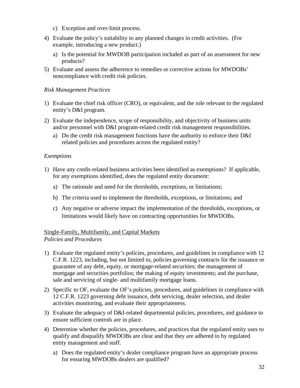- c) Exception and over-limit process.
- 4) Evaluate the policy's suitability to any planned changes in credit activities. (For example, introducing a new product.)
	- a) Is the potential for MWDOB participation included as part of an assessment for new products?
- 5) Evaluate and assess the adherence to remedies or corrective actions for MWDOBs' noncompliance with credit risk policies.

#### *Risk Management Practices*

- 1) Evaluate the chief risk officer (CRO), or equivalent, and the role relevant to the regulated entity's D&I program.
- 2) Evaluate the independence, scope of responsibility, and objectivity of business units and/or personnel with D&I program-related credit risk management responsibilities.
	- a) Do the credit risk management functions have the authority to enforce their D&I related policies and procedures across the regulated entity?

#### *Exemptions*

- 1) Have any credit-related business activities been identified as exemptions? If applicable, for any exemptions identified, does the regulated entity document:
	- a) The rationale and need for the thresholds, exceptions, or limitations;
	- b) The criteria used to implement the thresholds, exceptions, or limitations; and
	- c) Any negative or adverse impact the implementation of the thresholds, exceptions, or limitations would likely have on contracting opportunities for MWDOBs.

## Single-Family, Multifamily, and Capital Markets

#### *Policies and Procedures*

- 1) Evaluate the regulated entity's policies, procedures, and guidelines in compliance with 12 C.F.R. 1223, including, but not limited to, policies governing contracts for the issuance or guarantee of any debt, equity, or mortgage-related securities; the management of mortgage and securities portfolios; the making of equity investments; and the purchase, sale and servicing of single- and multifamily mortgage loans.
- 2) Specific to OF, evaluate the OF's policies, procedures, and guidelines in compliance with 12 C.F.R. 1223 governing debt issuance, debt servicing, dealer selection, and dealer activities monitoring, and evaluate their appropriateness.
- 3) Evaluate the adequacy of D&I-related departmental policies, procedures, and guidance to ensure sufficient controls are in place.
- 4) Determine whether the policies, procedures, and practices that the regulated entity uses to qualify and disqualify MWDOBs are clear and that they are adhered to by regulated entity management and staff.
	- a) Does the regulated entity's dealer compliance program have an appropriate process for ensuring MWDOBs dealers are qualified?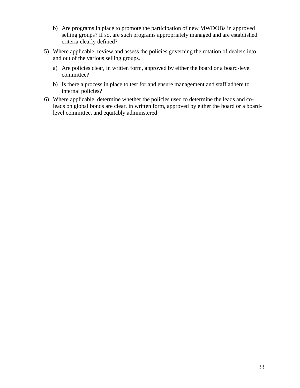- b) Are programs in place to promote the participation of new MWDOBs in approved selling groups? If so, are such programs appropriately managed and are established criteria clearly defined?
- 5) Where applicable, review and assess the policies governing the rotation of dealers into and out of the various selling groups.
	- a) Are policies clear, in written form, approved by either the board or a board-level committee?
	- b) Is there a process in place to test for and ensure management and staff adhere to internal policies?
- 6) Where applicable, determine whether the policies used to determine the leads and coleads on global bonds are clear, in written form, approved by either the board or a boardlevel committee, and equitably administered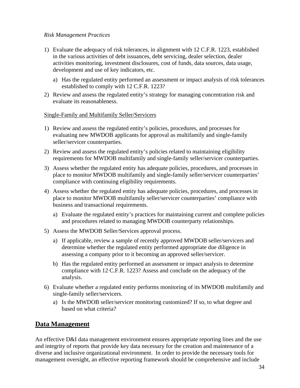#### *Risk Management Practices*

- 1) Evaluate the adequacy of risk tolerances, in alignment with 12 C.F.R. 1223, established in the various activities of debt issuances, debt servicing, dealer selection, dealer activities monitoring, investment disclosures, cost of funds, data sources, data usage, development and use of key indicators, etc.
	- a) Has the regulated entity performed an assessment or impact analysis of risk tolerances established to comply with 12 C.F.R. 1223?
- 2) Review and assess the regulated entity's strategy for managing concentration risk and evaluate its reasonableness.

#### Single-Family and Multifamily Seller/Servicers

- 1) Review and assess the regulated entity's policies, procedures, and processes for evaluating new MWDOB applicants for approval as multifamily and single-family seller/servicer counterparties.
- 2) Review and assess the regulated entity's policies related to maintaining eligibility requirements for MWDOB multifamily and single-family seller/servicer counterparties.
- 3) Assess whether the regulated entity has adequate policies, procedures, and processes in place to monitor MWDOB multifamily and single-family seller/servicer counterparties' compliance with continuing eligibility requirements.
- 4) Assess whether the regulated entity has adequate policies, procedures, and processes in place to monitor MWDOB multifamily seller/servicer counterparties' compliance with business and transactional requirements.
	- a) Evaluate the regulated entity's practices for maintaining current and complete policies and procedures related to managing MWDOB counterparty relationships.
- 5) Assess the MWDOB Seller/Services approval process.
	- a) If applicable, review a sample of recently approved MWDOB seller/servicers and determine whether the regulated entity performed appropriate due diligence in assessing a company prior to it becoming an approved seller/servicer.
	- b) Has the regulated entity performed an assessment or impact analysis to determine compliance with 12 C.F.R. 1223? Assess and conclude on the adequacy of the analysis.
- <span id="page-36-0"></span>6) Evaluate whether a regulated entity performs monitoring of its MWDOB multifamily and single-family seller/servicers.
	- a) Is the MWDOB seller/servicer monitoring customized? If so, to what degree and based on what criteria?

#### **Data Management**

An effective D&I data management environment ensures appropriate reporting lines and the use and integrity of reports that provide key data necessary for the creation and maintenance of a diverse and inclusive organizational environment. In order to provide the necessary tools for management oversight, an effective reporting framework should be comprehensive and include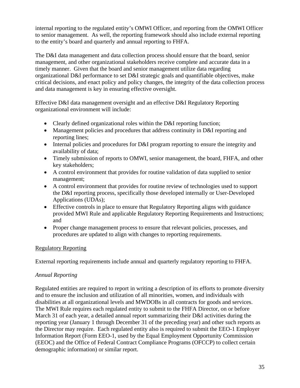internal reporting to the regulated entity's OMWI Officer, and reporting from the OMWI Officer to senior management. As well, the reporting framework should also include external reporting to the entity's board and quarterly and annual reporting to FHFA.

The D&I data management and data collection process should ensure that the board, senior management, and other organizational stakeholders receive complete and accurate data in a timely manner. Given that the board and senior management utilize data regarding organizational D&I performance to set D&I strategic goals and quantifiable objectives, make critical decisions, and enact policy and policy changes, the integrity of the data collection process and data management is key in ensuring effective oversight.

Effective D&I data management oversight and an effective D&I Regulatory Reporting organizational environment will include:

- Clearly defined organizational roles within the D&I reporting function;
- Management policies and procedures that address continuity in D&I reporting and reporting lines;
- Internal policies and procedures for D&I program reporting to ensure the integrity and availability of data;
- Timely submission of reports to OMWI, senior management, the board, FHFA, and other key stakeholders;
- A control environment that provides for routine validation of data supplied to senior management;
- A control environment that provides for routine review of technologies used to support the D&I reporting process, specifically those developed internally or User-Developed Applications (UDAs);
- Effective controls in place to ensure that Regulatory Reporting aligns with guidance provided MWI Rule and applicable Regulatory Reporting Requirements and Instructions; and
- Proper change management process to ensure that relevant policies, processes, and procedures are updated to align with changes to reporting requirements.

#### Regulatory Reporting

External reporting requirements include annual and quarterly regulatory reporting to FHFA.

#### *Annual Reporting*

Regulated entities are required to report in writing a description of its efforts to promote diversity and to ensure the inclusion and utilization of all minorities, women, and individuals with disabilities at all organizational levels and MWDOBs in all contracts for goods and services. The MWI Rule requires each regulated entity to submit to the FHFA Director, on or before March 31 of each year, a detailed annual report summarizing their D&I activities during the reporting year (January 1 through December 31 of the preceding year) and other such reports as the Director may require. Each regulated entity also is required to submit the EEO-1 Employer Information Report (Form EEO-1, used by the Equal Employment Opportunity Commission (EEOC) and the Office of Federal Contract Compliance Programs (OFCCP) to collect certain demographic information) or similar report.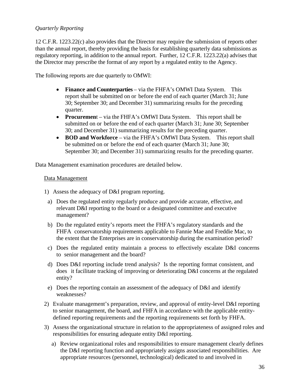#### *Quarterly Reporting*

12 C.F.R. 1223.22(c) also provides that the Director may require the submission of reports other than the annual report, thereby providing the basis for establishing quarterly data submissions as regulatory reporting, in addition to the annual report. Further, 12 C.F.R. 1223.22(a) advises that the Director may prescribe the format of any report by a regulated entity to the Agency.

The following reports are due quarterly to OMWI:

- **Finance and Counterparties** via the FHFA's OMWI Data System. This report shall be submitted on or before the end of each quarter (March 31; June 30; September 30; and December 31) summarizing results for the preceding quarter.
- **Procurement** via the FHFA's OMWI Data System. This report shall be submitted on or before the end of each quarter (March 31; June 30; September 30; and December 31) summarizing results for the preceding quarter.
- **BOD and Workforce** via the FHFA's OMWI Data System. This report shall be submitted on or before the end of each quarter (March 31; June 30; September 30; and December 31) summarizing results for the preceding quarter.

Data Management examination procedures are detailed below.

#### Data Management

- 1) Assess the adequacy of D&I program reporting.
- a) Does the regulated entity regularly produce and provide accurate, effective, and relevant D&I reporting to the board or a designated committee and executive management?
- b) Do the regulated entity's reports meet the FHFA's regulatory standards and the FHFA conservatorship requirements applicable to Fannie Mae and Freddie Mac, to the extent that the Enterprises are in conservatorship during the examination period?
- c) Does the regulated entity maintain a process to effectively escalate D&I concerns to senior management and the board?
- d) Does D&I reporting include trend analysis? Is the reporting format consistent, and does it facilitate tracking of improving or deteriorating D&I concerns at the regulated entity?
- e) Does the reporting contain an assessment of the adequacy of D&I and identify weaknesses?
- 2) Evaluate management's preparation, review, and approval of entity-level D&I reporting to senior management, the board, and FHFA in accordance with the applicable entitydefined reporting requirements and the reporting requirements set forth by FHFA.
- 3) Assess the organizational structure in relation to the appropriateness of assigned roles and responsibilities for ensuring adequate entity D&I reporting.
	- a) Review organizational roles and responsibilities to ensure management clearly defines the D&I reporting function and appropriately assigns associated responsibilities. Are appropriate resources (personnel, technological) dedicated to and involved in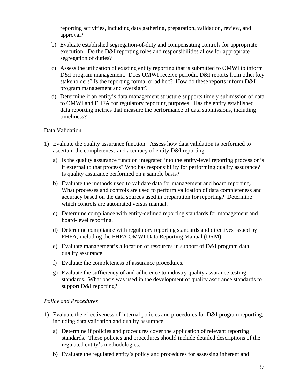reporting activities, including data gathering, preparation, validation, review, and approval?

- b) Evaluate established segregation-of-duty and compensating controls for appropriate execution. Do the D&I reporting roles and responsibilities allow for appropriate segregation of duties?
- c) Assess the utilization of existing entity reporting that is submitted to OMWI to inform D&I program management. Does OMWI receive periodic D&I reports from other key stakeholders? Is the reporting formal or ad hoc? How do these reports inform D&I program management and oversight?
- d) Determine if an entity's data management structure supports timely submission of data to OMWI and FHFA for regulatory reporting purposes. Has the entity established data reporting metrics that measure the performance of data submissions, including timeliness?

#### Data Validation

- 1) Evaluate the quality assurance function. Assess how data validation is performed to ascertain the completeness and accuracy of entity D&I reporting.
	- a) Is the quality assurance function integrated into the entity-level reporting process or is it external to that process? Who has responsibility for performing quality assurance? Is quality assurance performed on a sample basis?
	- b) Evaluate the methods used to validate data for management and board reporting. What processes and controls are used to perform validation of data completeness and accuracy based on the data sources used in preparation for reporting? Determine which controls are automated versus manual.
	- c) Determine compliance with entity-defined reporting standards for management and board-level reporting.
	- d) Determine compliance with regulatory reporting standards and directives issued by FHFA, including the FHFA OMWI Data Reporting Manual (DRM).
	- e) Evaluate management's allocation of resources in support of D&I program data quality assurance.
	- f) Evaluate the completeness of assurance procedures.
	- g) Evaluate the sufficiency of and adherence to industry quality assurance testing standards. What basis was used in the development of quality assurance standards to support D&I reporting?

#### *Policy and Procedures*

- 1) Evaluate the effectiveness of internal policies and procedures for D&I program reporting, including data validation and quality assurance.
	- a) Determine if policies and procedures cover the application of relevant reporting standards. These policies and procedures should include detailed descriptions of the regulated entity's methodologies.
	- b) Evaluate the regulated entity's policy and procedures for assessing inherent and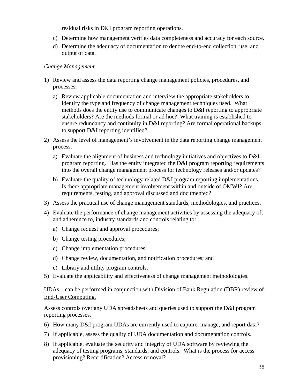residual risks in D&I program reporting operations.

- c) Determine how management verifies data completeness and accuracy for each source.
- d) Determine the adequacy of documentation to denote end-to-end collection, use, and output of data.

#### *Change Management*

- 1) Review and assess the data reporting change management policies, procedures, and processes.
	- a) Review applicable documentation and interview the appropriate stakeholders to identify the type and frequency of change management techniques used. What methods does the entity use to communicate changes to D&I reporting to appropriate stakeholders? Are the methods formal or ad hoc? What training is established to ensure redundancy and continuity in D&I reporting? Are formal operational backups to support D&I reporting identified?
- 2) Assess the level of management's involvement in the data reporting change management process.
	- a) Evaluate the alignment of business and technology initiatives and objectives to D&I program reporting. Has the entity integrated the D&I program reporting requirements into the overall change management process for technology releases and/or updates?
	- b) Evaluate the quality of technology-related D&I program reporting implementations. Is there appropriate management involvement within and outside of OMWI? Are requirements, testing, and approval discussed and documented?
- 3) Assess the practical use of change management standards, methodologies, and practices.
- 4) Evaluate the performance of change management activities by assessing the adequacy of, and adherence to, industry standards and controls relating to:
	- a) Change request and approval procedures;
	- b) Change testing procedures;
	- c) Change implementation procedures;
	- d) Change review, documentation, and notification procedures; and
	- e) Library and utility program controls.
- 5) Evaluate the applicability and effectiveness of change management methodologies.

#### UDAs – can be performed in conjunction with Division of Bank Regulation (DBR) review of End-User Computing.

Assess controls over any UDA spreadsheets and queries used to support the D&I program reporting processes.

- 6) How many D&I program UDAs are currently used to capture, manage, and report data?
- 7) If applicable, assess the quality of UDA documentation and documentation controls.
- 8) If applicable, evaluate the security and integrity of UDA software by reviewing the adequacy of testing programs, standards, and controls. What is the process for access provisioning? Recertification? Access removal?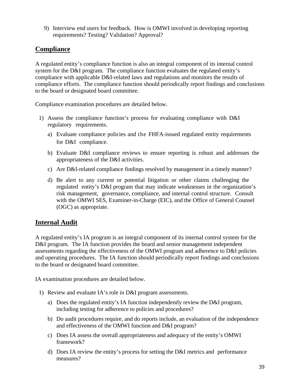<span id="page-41-0"></span>9) Interview end users for feedback. How is OMWI involved in developing reporting requirements? Testing? Validation? Approval?

## **Compliance**

A regulated entity's compliance function is also an integral component of its internal control system for the D&I program. The compliance function evaluates the regulated entity's compliance with applicable D&I-related laws and regulations and monitors the results of compliance efforts. The compliance function should periodically report findings and conclusions to the board or designated board committee.

Compliance examination procedures are detailed below.

- 1) Assess the compliance function's process for evaluating compliance with D&I regulatory requirements.
	- a) Evaluate compliance policies and the FHFA-issued regulated entity requirements for D&I compliance.
	- b) Evaluate D&I compliance reviews to ensure reporting is robust and addresses the appropriateness of the D&I activities.
	- c) Are D&I-related compliance findings resolved by management in a timely manner?
	- d) Be alert to any current or potential litigation or other claims challenging the regulated entity's D&I program that may indicate weaknesses in the organization's risk management, governance, compliance, and internal control structure. Consult with the OMWI SES, Examiner-in-Charge (EIC), and the Office of General Counsel (OGC) as appropriate.

### <span id="page-41-1"></span>**Internal Audit**

A regulated entity's IA program is an integral component of its internal control system for the D&I program. The IA function provides the board and senior management independent assessments regarding the effectiveness of the OMWI program and adherence to D&I policies and operating procedures. The IA function should periodically report findings and conclusions to the board or designated board committee.

IA examination procedures are detailed below.

- 1) Review and evaluate IA's role in D&I program assessments.
	- a) Does the regulated entity's IA function independently review the D&I program, including testing for adherence to policies and procedures?
	- b) Do audit procedures require, and do reports include, an evaluation of the independence and effectiveness of the OMWI function and D&I program?
	- c) Does IA assess the overall appropriateness and adequacy of the entity's OMWI framework?
	- d) Does IA review the entity's process for setting the D&I metrics and performance measures?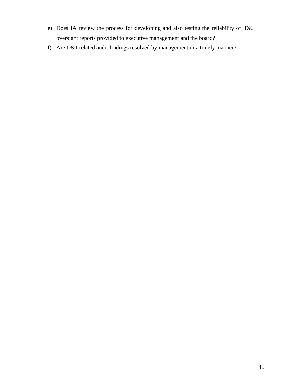- e) Does IA review the process for developing and also testing the reliability of D&I oversight reports provided to executive management and the board?
- f) Are D&I-related audit findings resolved by management in a timely manner?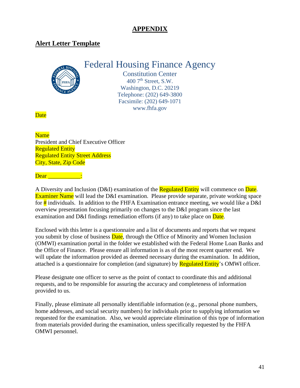## **APPENDIX**

## <span id="page-43-0"></span>**Alert Letter Template**



Constitution Center  $400$  7<sup>th</sup> Street, S.W. Washington, D.C. 20219 Telephone: (202) 649-3800 Facsimile: (202) 649-1071 www.fhfa.gov

**Date** 

#### Name

President and Chief Executive Officer Regulated Entity Regulated Entity Street Address City, State, Zip Code

Dear **Dear** 

A Diversity and Inclusion (D&I) examination of the Regulated Entity will commence on Date. Examiner Name will lead the D&I examination. Please provide separate, private working space for  $\frac{1}{2}$  individuals. In addition to the FHFA Examination entrance meeting, we would like a D&I overview presentation focusing primarily on changes to the D&I program since the last examination and D&I findings remediation efforts (if any) to take place on  $\overline{\text{Date}}$ .

Enclosed with this letter is a questionnaire and a list of documents and reports that we request you submit by close of business **Date**, through the Office of Minority and Women Inclusion (OMWI) examination portal in the folder we established with the Federal Home Loan Banks and the Office of Finance. Please ensure all information is as of the most recent quarter end. We will update the information provided as deemed necessary during the examination. In addition, attached is a questionnaire for completion (and signature) by **Regulated Entity**'s OMWI officer.

Please designate one officer to serve as the point of contact to coordinate this and additional requests, and to be responsible for assuring the accuracy and completeness of information provided to us.

Finally, please eliminate all personally identifiable information (e.g., personal phone numbers, home addresses, and social security numbers) for individuals prior to supplying information we requested for the examination. Also, we would appreciate elimination of this type of information from materials provided during the examination, unless specifically requested by the FHFA OMWI personnel.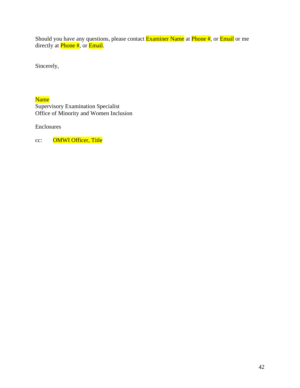Should you have any questions, please contact <mark>Examiner Name</mark> at <mark>Phone #</mark>, or <mark>Email</mark> or me directly at *Phone* #, or *Email*.

Sincerely,

Name Supervisory Examination Specialist Office of Minority and Women Inclusion

Enclosures

cc: OMWI Officer, Title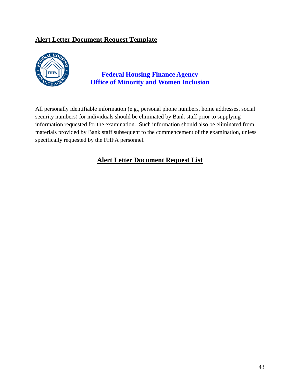## <span id="page-45-0"></span>**Alert Letter Document Request Template**



## **Federal Housing Finance Agency Office of Minority and Women Inclusion**

All personally identifiable information (e.g., personal phone numbers, home addresses, social security numbers) for individuals should be eliminated by Bank staff prior to supplying information requested for the examination. Such information should also be eliminated from materials provided by Bank staff subsequent to the commencement of the examination, unless specifically requested by the FHFA personnel.

## **Alert Letter Document Request List**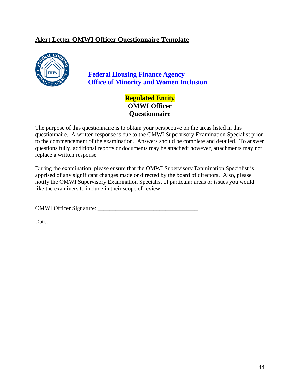## <span id="page-46-0"></span>**Alert Letter OMWI Officer Questionnaire Template**



## **Federal Housing Finance Agency Office of Minority and Women Inclusion**

## **Regulated Entity OMWI Officer Questionnaire**

The purpose of this questionnaire is to obtain your perspective on the areas listed in this questionnaire. A written response is due to the OMWI Supervisory Examination Specialist prior to the commencement of the examination. Answers should be complete and detailed. To answer questions fully, additional reports or documents may be attached; however, attachments may not replace a written response.

During the examination, please ensure that the OMWI Supervisory Examination Specialist is apprised of any significant changes made or directed by the board of directors. Also, please notify the OMWI Supervisory Examination Specialist of particular areas or issues you would like the examiners to include in their scope of review.

OMWI Officer Signature: \_\_\_\_\_\_\_\_\_\_\_\_\_\_\_\_\_\_\_\_\_\_\_\_\_\_\_\_\_\_\_\_\_\_

Date: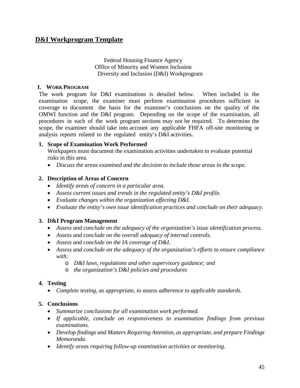#### Federal Housing Finance Agency Office of Minority and Women Inclusion Diversity and Inclusion (D&I) Workprogram

#### <span id="page-47-0"></span>**I. WORK PROGRAM**

The work program for D&I examinations is detailed below. When included in the examination scope, the examiner must perform examination procedures sufficient in coverage to document the basis for the examiner's conclusions on the quality of the OMWI function and the D&I program. Depending on the scope of the examination, all procedures in each of the work program sections may not be required. To determine the scope, the examiner should take into account any applicable FHFA off-site monitoring or analysis reports related to the regulated entity's D&I activities.

#### **1. Scope of Examination Work Performed**

Workpapers must document the examination activities undertaken to evaluate potential risks in this area.

• *Discuss the areas examined and the decision to include those areas in the scope.*

#### **2. Description of Areas of Concern**

- *Identify areas of concern in a particular area.*
- *Assess current issues and trends in the regulated entity's D&I profile.*
- *Evaluate changes within the organization affecting D&I.*
- *Evaluate the entity's own issue identification practices and conclude on their adequacy.*

#### **3. D&I Program Management**

- *Assess and conclude on the adequacy of the organization's issue identification process.*
- *Assess and conclude on the overall adequacy of internal controls.*
- *Assess and conclude on the IA coverage of D&I.*
- *Assess and conclude on the adequacy of the organization's efforts to ensure compliance with:*
	- o *D&I laws, regulations and other supervisory guidance; and*
	- o *the organization's D&I policies and procedures*

#### **4. Testing**

• *Complete testing, as appropriate, to assess adherence to applicable standards.*

#### **5. Conclusions**

- *Summarize conclusions for all examination work performed.*
- *If applicable, conclude on responsiveness to examination findings from previous examinations.*
- *Develop findings and Matters Requiring Attention, as appropriate, and prepare Findings Memoranda.*
- *Identify areas requiring follow-up examination activities or monitoring.*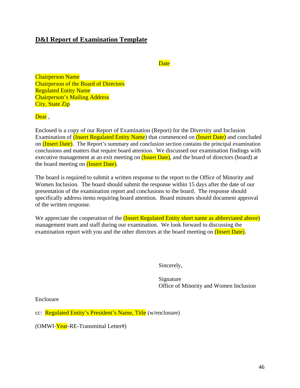## <span id="page-48-0"></span>**D&I Report of Examination Template**

#### **Date**

Chairperson Name Chairperson of the Board of Directors Regulated Entity Name Chairperson's Mailing Address City, State Zip

#### Dear.

Enclosed is a copy of our Report of Examination (Report) for the Diversity and Inclusion Examination of *(Insert Regulated Entity Name)* that commenced on *(Insert Date)* and concluded on (Insert Date). The Report's summary and conclusion section contains the principal examination conclusions and matters that require board attention. We discussed our examination findings with executive management at an exit meeting on (Insert Date), and the board of directors (board) at the board meeting on (Insert Date).

The board is required to submit a written response to the report to the Office of Minority and Women Inclusion. The board should submit the response within 15 days after the date of our presentation of the examination report and conclusions to the board. The response should specifically address items requiring board attention. Board minutes should document approval of the written response.

We appreciate the cooperation of the *(Insert Regulated Entity short name as abbreviated above)* management team and staff during our examination. We look forward to discussing the examination report with you and the other directors at the board meeting on (Insert Date).

Sincerely,

Signature Office of Minority and Women Inclusion

Enclosure

cc: Regulated Entity's President's Name, Title (w/enclosure)

(OMWI-Year-RE-Transmittal Letter#)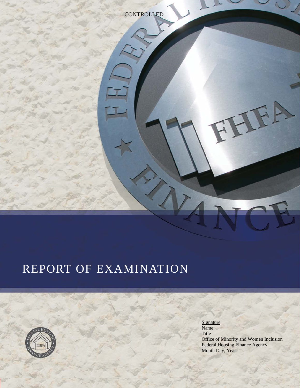

# REPORT OF EXAMINATION



**Signature** Name Title Office of Minority and Women Inclusion Federal Housing Finance Agency Month Day, Year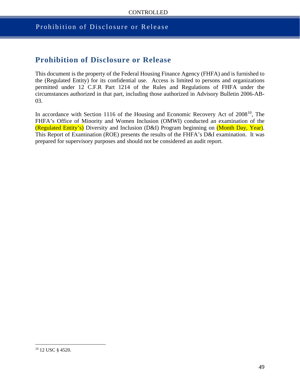### Prohibition of Disclosure or Release

## **Prohibition of Disclosure or Release**

This document is the property of the Federal Housing Finance Agency (FHFA) and is furnished to the (Regulated Entity) for its confidential use. Access is limited to persons and organizations permitted under 12 C.F.R Part 1214 of the Rules and Regulations of FHFA under the circumstances authorized in that part, including those authorized in Advisory Bulletin 2006-AB-03.

In accordance with Section 1116 of the Housing and Economic Recovery Act of 2008<sup>10</sup>, The FHFA's Office of Minority and Women Inclusion (OMWI) conducted an examination of the (Regulated Entity's) Diversity and Inclusion (D&I) Program beginning on (Month Day, Year). This Report of Examination (ROE) presents the results of the FHFA's D&I examination. It was prepared for supervisory purposes and should not be considered an audit report.

<span id="page-50-0"></span><sup>10</sup> 12 USC § 4520.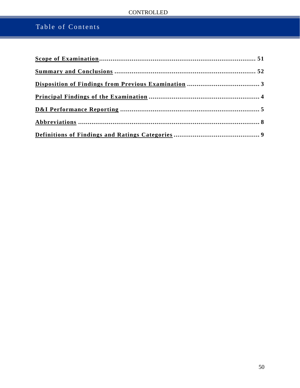## **CONTROLLED**

## Table of Contents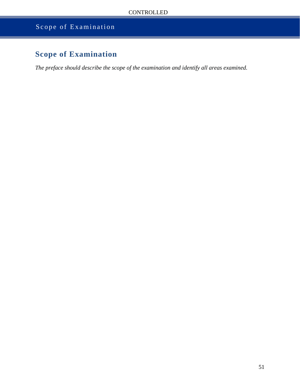## Scope of Examination

## <span id="page-52-0"></span>**Scope of Examination**

*The preface should describe the scope of the examination and identify all areas examined.*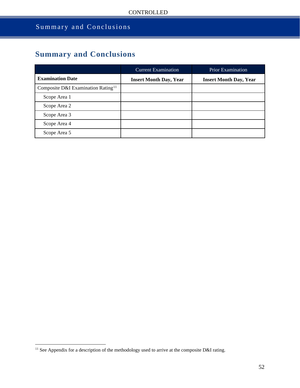## Summary and Conclusions

## <span id="page-53-0"></span>**Summary and Conclusions**

|                                                | <b>Current Examination</b>    | <b>Prior Examination</b>      |
|------------------------------------------------|-------------------------------|-------------------------------|
| <b>Examination Date</b>                        | <b>Insert Month Day, Year</b> | <b>Insert Month Day, Year</b> |
| Composite D&I Examination Rating <sup>11</sup> |                               |                               |
| Scope Area 1                                   |                               |                               |
| Scope Area 2                                   |                               |                               |
| Scope Area 3                                   |                               |                               |
| Scope Area 4                                   |                               |                               |
| Scope Area 5                                   |                               |                               |

<span id="page-53-1"></span><sup>&</sup>lt;sup>11</sup> See Appendix for a description of the methodology used to arrive at the composite D&I rating.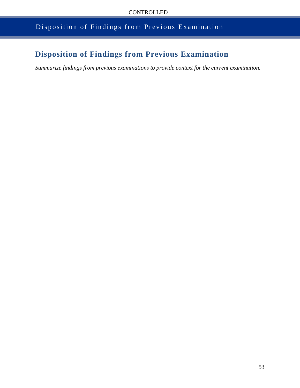## Disposition of Findings from Previous Examination

## <span id="page-54-0"></span>**Disposition of Findings from Previous Examination**

*Summarize findings from previous examinations to provide context for the current examination.*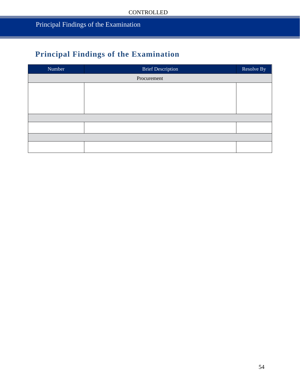## <span id="page-55-0"></span>**Principal Findings of the Examination**

<span id="page-55-1"></span>

| Number      | <b>Brief Description</b> | Resolve By |  |
|-------------|--------------------------|------------|--|
| Procurement |                          |            |  |
|             |                          |            |  |
|             |                          |            |  |
|             |                          |            |  |
|             |                          |            |  |
|             |                          |            |  |
|             |                          |            |  |
|             |                          |            |  |
|             |                          |            |  |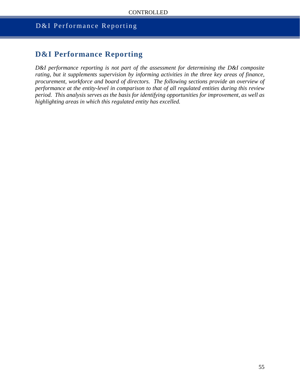## D&I Performance Reporting

## **D&I Performance Reporting**

*D&I performance reporting is not part of the assessment for determining the D&I composite rating, but it supplements supervision by informing activities in the three key areas of finance, procurement, workforce and board of directors. The following sections provide an overview of performance at the entity-level in comparison to that of all regulated entities during this review period. This analysis serves as the basis for identifying opportunities for improvement, as well as highlighting areas in which this regulated entity has excelled.*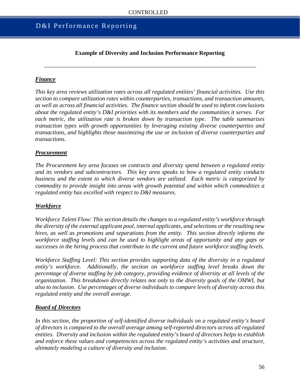## D&I Performance Reporting

#### **Example of Diversity and Inclusion Performance Reporting**

#### *Finance*

*This key area reviews utilization rates across all regulated entities' financial activities. Use this section to compare utilization rates within counterparties, transactions, and transaction amounts, as well as across all financial activities. The finance section should be used to inform conclusions about the regulated entity's D&I priorities with its members and the communities it serves. For each metric, the utilization rate is broken down by transaction type. The table summarizes transaction types with growth opportunities by leveraging existing diverse counterparties and transactions, and highlights those maximizing the use or inclusion of diverse counterparties and transactions.* 

#### *Procurement*

*The Procurement key area focuses on contracts and diversity spend between a regulated entity and its vendors and subcontractors. This key area speaks to how a regulated entity conducts business and the extent to which diverse vendors are utilized. Each metric is categorized by commodity to provide insight into areas with growth potential and within which commodities a regulated entity has excelled with respect to D&I measures.* 

#### *Workforce*

*Workforce Talent Flow: This section details the changes to a regulated entity's workforce through the diversity of the external applicant pool, internal applicants, and selections or the resulting new hires, as well as promotions and separations from the entity. This section directly informs the workforce staffing levels and can be used to highlight areas of opportunity and any gaps or successes in the hiring process that contribute to the current and future workforce staffing levels.* 

*Workforce Staffing Level: This section provides supporting data of the diversity in a regulated entity's workforce. Additionally, the section on workforce staffing level breaks down the percentage of diverse staffing by job category, providing evidence of diversity at all levels of the organization. This breakdown directly relates not only to the diversity goals of the OMWI, but also to inclusion. Use percentages of diverse individuals to compare levels of diversity across this regulated entity and the overall average.*

#### *Board of Directors*

*In this section, the proportion of self-identified diverse individuals on a regulated entity's board of directors is compared to the overall average among self-reported directors across all regulated entities. Diversity and inclusion within the regulated entity's board of directors helps to establish and enforce these values and competencies across the regulated entity's activities and structure, ultimately modeling a culture of diversity and inclusion.*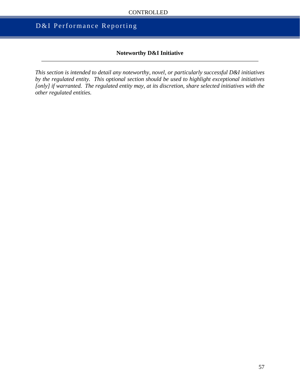## D&I Performance Reporting

#### **Noteworthy D&I Initiative**

*This section is intended to detail any noteworthy, novel, or particularly successful D&I initiatives by the regulated entity. This optional section should be used to highlight exceptional initiatives [only] if warranted. The regulated entity may, at its discretion, share selected initiatives with the other regulated entities.*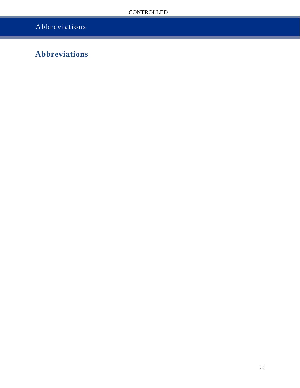## Abbreviations

## <span id="page-59-0"></span>**Abbreviations**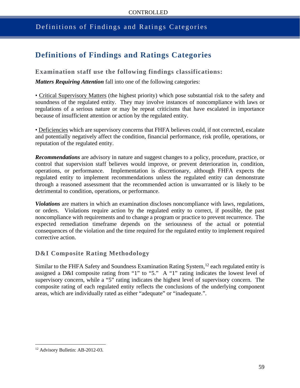### <span id="page-60-0"></span>Definitions of Findings and Ratings Categories

## **Definitions of Findings and Ratings Categories**

**Examination staff use the following findings classifications:**

*Matters Requiring Attention* fall into one of the following categories:

• Critical Supervisory Matters (the highest priority) which pose substantial risk to the safety and soundness of the regulated entity. They may involve instances of noncompliance with laws or regulations of a serious nature or may be repeat criticisms that have escalated in importance because of insufficient attention or action by the regulated entity.

• Deficiencies which are supervisory concerns that FHFA believes could, if not corrected, escalate and potentially negatively affect the condition, financial performance, risk profile, operations, or reputation of the regulated entity.

*Recommendations* are advisory in nature and suggest changes to a policy, procedure, practice, or control that supervision staff believes would improve, or prevent deterioration in, condition, operations, or performance. Implementation is discretionary, although FHFA expects the regulated entity to implement recommendations unless the regulated entity can demonstrate through a reasoned assessment that the recommended action is unwarranted or is likely to be detrimental to condition, operations, or performance.

*Violations* are matters in which an examination discloses noncompliance with laws, regulations, or orders. Violations require action by the regulated entity to correct, if possible, the past noncompliance with requirements and to change a program or practice to prevent recurrence. The expected remediation timeframe depends on the seriousness of the actual or potential consequences of the violation and the time required for the regulated entity to implement required corrective action.

#### **D&I Composite Rating Methodology**

Similar to the FHFA Safety and Soundness Examination Rating System,<sup>[12](#page-60-1)</sup> each regulated entity is assigned a D&I composite rating from "1" to "5." A "1" rating indicates the lowest level of supervisory concern, while a "5" rating indicates the highest level of supervisory concern. The composite rating of each regulated entity reflects the conclusions of the underlying component areas, which are individually rated as either "adequate" or "inadequate.".

<span id="page-60-1"></span><sup>12</sup> Advisory Bulletin: AB-2012-03.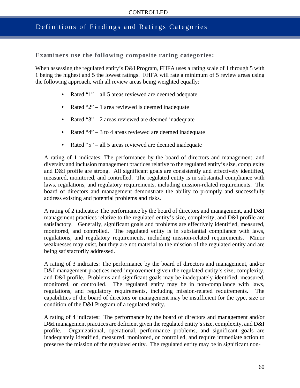## Definitions of Findings and Ratings Categories

**Examiners use the following composite rating categories:**

When assessing the regulated entity's D&I Program, FHFA uses a rating scale of 1 through 5 with 1 being the highest and 5 the lowest ratings. FHFA will rate a minimum of 5 review areas using the following approach, with all review areas being weighted equally:

- Rated "1" all 5 areas reviewed are deemed adequate
- Rated " $2$ " 1 area reviewed is deemed inadequate
- Rated "3" 2 areas reviewed are deemed inadequate
- Rated  $4" 3$  to 4 areas reviewed are deemed inadequate
- Rated "5" all 5 areas reviewed are deemed inadequate

A rating of 1 indicates: The performance by the board of directors and management, and diversity and inclusion management practices relative to the regulated entity's size, complexity and D&I profile are strong. All significant goals are consistently and effectively identified, measured, monitored, and controlled. The regulated entity is in substantial compliance with laws, regulations, and regulatory requirements, including mission-related requirements. The board of directors and management demonstrate the ability to promptly and successfully address existing and potential problems and risks.

A rating of 2 indicates: The performance by the board of directors and management, and D&I management practices relative to the regulated entity's size, complexity, and D&I profile are satisfactory. Generally, significant goals and problems are effectively identified, measured, monitored, and controlled. The regulated entity is in substantial compliance with laws, regulations, and regulatory requirements, including mission-related requirements. Minor weaknesses may exist, but they are not material to the mission of the regulated entity and are being satisfactorily addressed.

A rating of 3 indicates: The performance by the board of directors and management, and/or D&I management practices need improvement given the regulated entity's size, complexity, and D&I profile. Problems and significant goals may be inadequately identified, measured, monitored, or controlled. The regulated entity may be in non-compliance with laws, regulations, and regulatory requirements, including mission-related requirements. The capabilities of the board of directors or management may be insufficient for the type, size or condition of the D&I Program of a regulated entity.

A rating of 4 indicates: The performance by the board of directors and management and/or D&I management practices are deficient given the regulated entity's size, complexity, and D&I profile. Organizational, operational, performance problems, and significant goals are inadequately identified, measured, monitored, or controlled, and require immediate action to preserve the mission of the regulated entity. The regulated entity may be in significant non-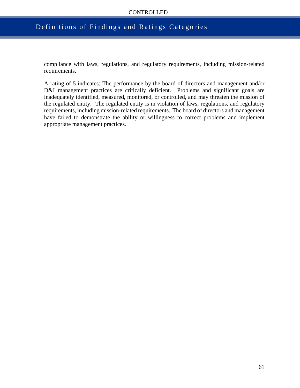#### CONTROLLED

#### Definitions of Findings and Ratings Categories

compliance with laws, regulations, and regulatory requirements, including mission-related requirements.

A rating of 5 indicates: The performance by the board of directors and management and/or D&I management practices are critically deficient. Problems and significant goals are inadequately identified, measured, monitored, or controlled, and may threaten the mission of the regulated entity. The regulated entity is in violation of laws, regulations, and regulatory requirements, including mission-related requirements. The board of directors and management have failed to demonstrate the ability or willingness to correct problems and implement appropriate management practices.